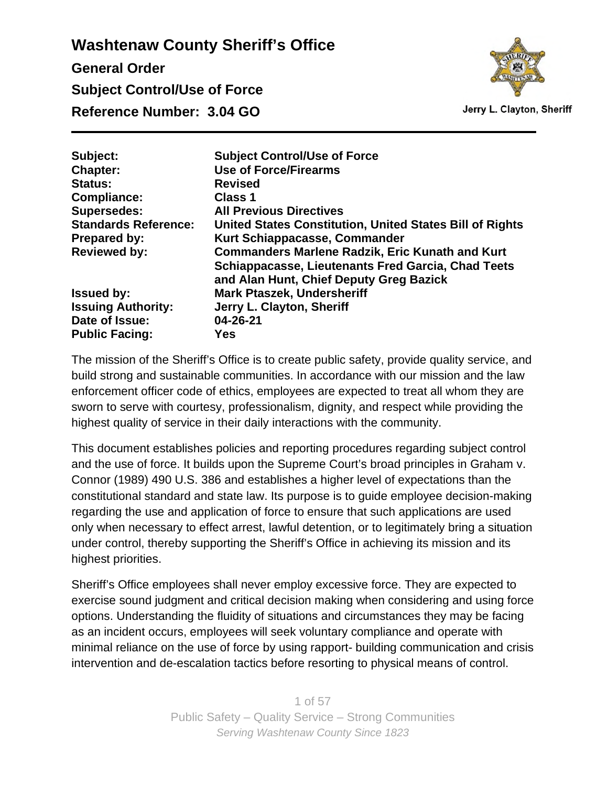

Jerry L. Clayton, Sheriff

| <b>Subject Control/Use of Force</b>                       |
|-----------------------------------------------------------|
| <b>Use of Force/Firearms</b>                              |
| <b>Revised</b>                                            |
| <b>Class 1</b>                                            |
| <b>All Previous Directives</b>                            |
| United States Constitution, United States Bill of Rights  |
| Kurt Schiappacasse, Commander                             |
| <b>Commanders Marlene Radzik, Eric Kunath and Kurt</b>    |
| <b>Schiappacasse, Lieutenants Fred Garcia, Chad Teets</b> |
| and Alan Hunt, Chief Deputy Greg Bazick                   |
| <b>Mark Ptaszek, Undersheriff</b>                         |
| Jerry L. Clayton, Sheriff                                 |
| 04-26-21                                                  |
| Yes                                                       |
|                                                           |

The mission of the Sheriff's Office is to create public safety, provide quality service, and build strong and sustainable communities. In accordance with our mission and the law enforcement officer code of ethics, employees are expected to treat all whom they are sworn to serve with courtesy, professionalism, dignity, and respect while providing the highest quality of service in their daily interactions with the community.

This document establishes policies and reporting procedures regarding subject control and the use of force. It builds upon the Supreme Court's broad principles in Graham v. Connor (1989) 490 U.S. 386 and establishes a higher level of expectations than the constitutional standard and state law. Its purpose is to guide employee decision-making regarding the use and application of force to ensure that such applications are used only when necessary to effect arrest, lawful detention, or to legitimately bring a situation under control, thereby supporting the Sheriff's Office in achieving its mission and its highest priorities.

Sheriff's Office employees shall never employ excessive force. They are expected to exercise sound judgment and critical decision making when considering and using force options. Understanding the fluidity of situations and circumstances they may be facing as an incident occurs, employees will seek voluntary compliance and operate with minimal reliance on the use of force by using rapport- building communication and crisis intervention and de-escalation tactics before resorting to physical means of control.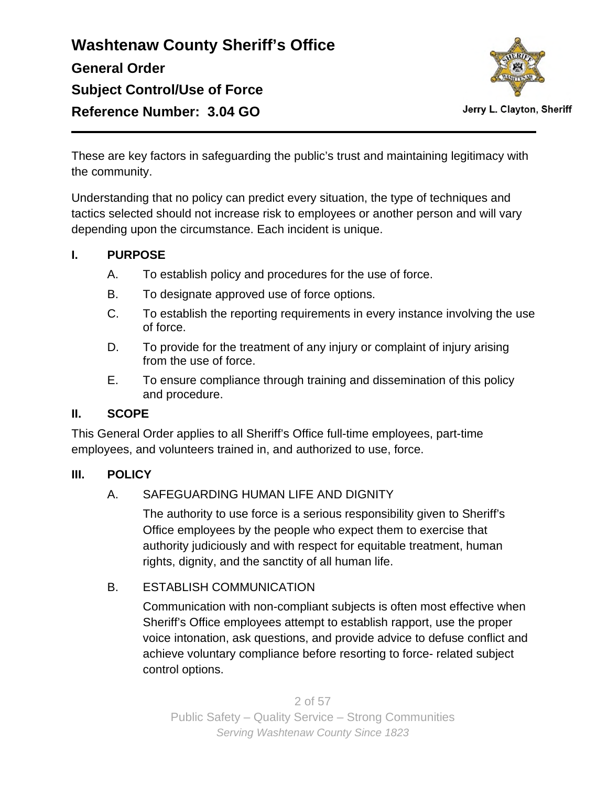

Jerry L. Clayton, Sheriff

These are key factors in safeguarding the public's trust and maintaining legitimacy with the community.

Understanding that no policy can predict every situation, the type of techniques and tactics selected should not increase risk to employees or another person and will vary depending upon the circumstance. Each incident is unique.

### **I. PURPOSE**

- A. To establish policy and procedures for the use of force.
- B. To designate approved use of force options.
- C. To establish the reporting requirements in every instance involving the use of force.
- D. To provide for the treatment of any injury or complaint of injury arising from the use of force.
- E. To ensure compliance through training and dissemination of this policy and procedure.

### **II. SCOPE**

This General Order applies to all Sheriff's Office full-time employees, part-time employees, and volunteers trained in, and authorized to use, force.

#### **III. POLICY**

### A. SAFEGUARDING HUMAN LIFE AND DIGNITY

The authority to use force is a serious responsibility given to Sheriff's Office employees by the people who expect them to exercise that authority judiciously and with respect for equitable treatment, human rights, dignity, and the sanctity of all human life.

### B. ESTABLISH COMMUNICATION

Communication with non-compliant subjects is often most effective when Sheriff's Office employees attempt to establish rapport, use the proper voice intonation, ask questions, and provide advice to defuse conflict and achieve voluntary compliance before resorting to force- related subject control options.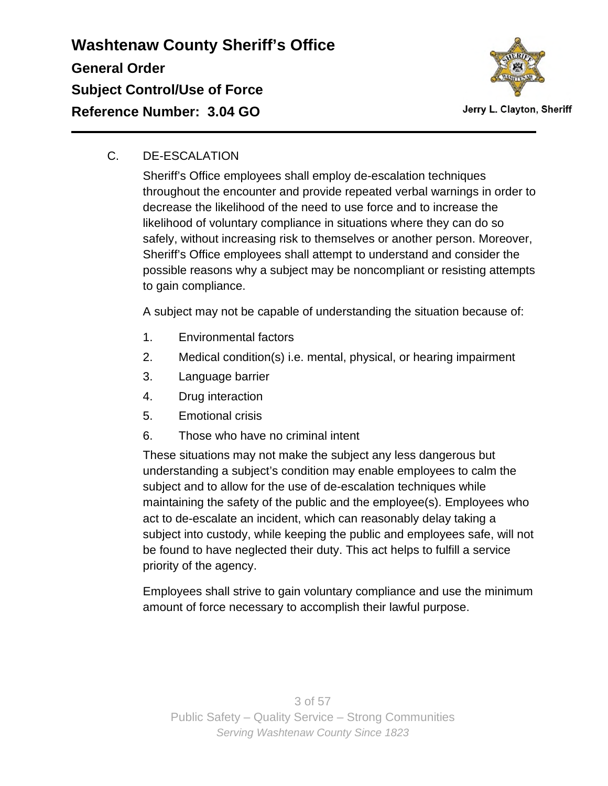

### C. DE-ESCALATION

Sheriff's Office employees shall employ de-escalation techniques throughout the encounter and provide repeated verbal warnings in order to decrease the likelihood of the need to use force and to increase the likelihood of voluntary compliance in situations where they can do so safely, without increasing risk to themselves or another person. Moreover, Sheriff's Office employees shall attempt to understand and consider the possible reasons why a subject may be noncompliant or resisting attempts to gain compliance.

A subject may not be capable of understanding the situation because of:

- 1. Environmental factors
- 2. Medical condition(s) i.e. mental, physical, or hearing impairment
- 3. Language barrier
- 4. Drug interaction
- 5. Emotional crisis
- 6. Those who have no criminal intent

These situations may not make the subject any less dangerous but understanding a subject's condition may enable employees to calm the subject and to allow for the use of de-escalation techniques while maintaining the safety of the public and the employee(s). Employees who act to de-escalate an incident, which can reasonably delay taking a subject into custody, while keeping the public and employees safe, will not be found to have neglected their duty. This act helps to fulfill a service priority of the agency.

Employees shall strive to gain voluntary compliance and use the minimum amount of force necessary to accomplish their lawful purpose.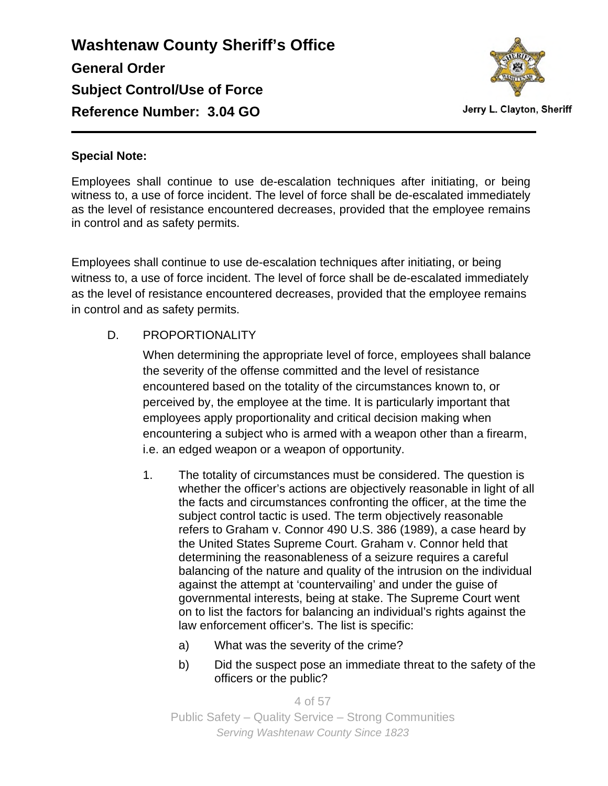

#### **Special Note:**

Employees shall continue to use de-escalation techniques after initiating, or being witness to, a use of force incident. The level of force shall be de-escalated immediately as the level of resistance encountered decreases, provided that the employee remains in control and as safety permits.

Employees shall continue to use de-escalation techniques after initiating, or being witness to, a use of force incident. The level of force shall be de-escalated immediately as the level of resistance encountered decreases, provided that the employee remains in control and as safety permits.

### D. PROPORTIONALITY

When determining the appropriate level of force, employees shall balance the severity of the offense committed and the level of resistance encountered based on the totality of the circumstances known to, or perceived by, the employee at the time. It is particularly important that employees apply proportionality and critical decision making when encountering a subject who is armed with a weapon other than a firearm, i.e. an edged weapon or a weapon of opportunity.

- 1. The totality of circumstances must be considered. The question is whether the officer's actions are objectively reasonable in light of all the facts and circumstances confronting the officer, at the time the subject control tactic is used. The term objectively reasonable refers to Graham v. Connor 490 U.S. 386 (1989), a case heard by the United States Supreme Court. Graham v. Connor held that determining the reasonableness of a seizure requires a careful balancing of the nature and quality of the intrusion on the individual against the attempt at 'countervailing' and under the guise of governmental interests, being at stake. The Supreme Court went on to list the factors for balancing an individual's rights against the law enforcement officer's. The list is specific:
	- a) What was the severity of the crime?
	- b) Did the suspect pose an immediate threat to the safety of the officers or the public?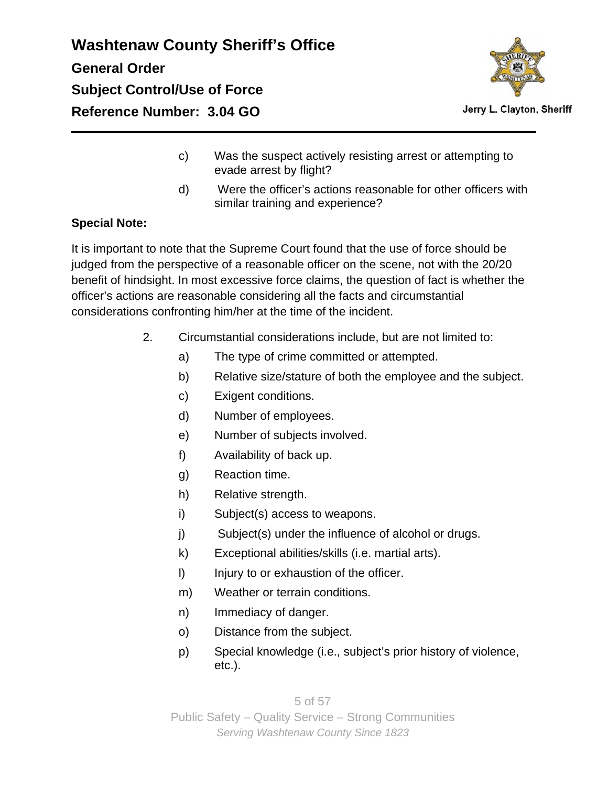

Jerry L. Clayton, Sheriff

- c) Was the suspect actively resisting arrest or attempting to evade arrest by flight?
- d) Were the officer's actions reasonable for other officers with similar training and experience?

### **Special Note:**

It is important to note that the Supreme Court found that the use of force should be judged from the perspective of a reasonable officer on the scene, not with the 20/20 benefit of hindsight. In most excessive force claims, the question of fact is whether the officer's actions are reasonable considering all the facts and circumstantial considerations confronting him/her at the time of the incident.

- 2. Circumstantial considerations include, but are not limited to:
	- a) The type of crime committed or attempted.
	- b) Relative size/stature of both the employee and the subject.
	- c) Exigent conditions.
	- d) Number of employees.
	- e) Number of subjects involved.
	- f) Availability of back up.
	- g) Reaction time.
	- h) Relative strength.
	- i) Subject(s) access to weapons.
	- j) Subject(s) under the influence of alcohol or drugs.
	- k) Exceptional abilities/skills (i.e. martial arts).
	- I) Injury to or exhaustion of the officer.
	- m) Weather or terrain conditions.
	- n) Immediacy of danger.
	- o) Distance from the subject.
	- p) Special knowledge (i.e., subject's prior history of violence, etc.).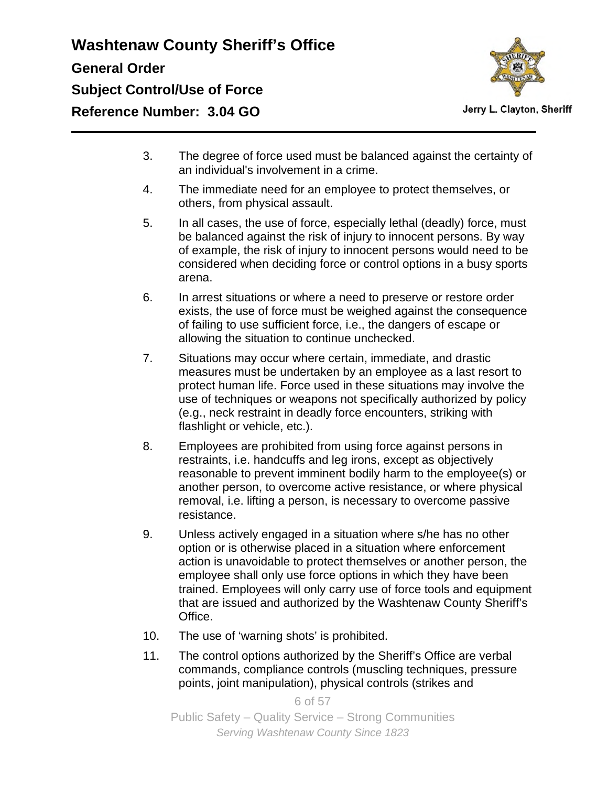

- 3. The degree of force used must be balanced against the certainty of an individual's involvement in a crime.
- 4. The immediate need for an employee to protect themselves, or others, from physical assault.
- 5. In all cases, the use of force, especially lethal (deadly) force, must be balanced against the risk of injury to innocent persons. By way of example, the risk of injury to innocent persons would need to be considered when deciding force or control options in a busy sports arena.
- 6. In arrest situations or where a need to preserve or restore order exists, the use of force must be weighed against the consequence of failing to use sufficient force, i.e., the dangers of escape or allowing the situation to continue unchecked.
- 7. Situations may occur where certain, immediate, and drastic measures must be undertaken by an employee as a last resort to protect human life. Force used in these situations may involve the use of techniques or weapons not specifically authorized by policy (e.g., neck restraint in deadly force encounters, striking with flashlight or vehicle, etc.).
- 8. Employees are prohibited from using force against persons in restraints, i.e. handcuffs and leg irons, except as objectively reasonable to prevent imminent bodily harm to the employee(s) or another person, to overcome active resistance, or where physical removal, i.e. lifting a person, is necessary to overcome passive resistance.
- 9. Unless actively engaged in a situation where s/he has no other option or is otherwise placed in a situation where enforcement action is unavoidable to protect themselves or another person, the employee shall only use force options in which they have been trained. Employees will only carry use of force tools and equipment that are issued and authorized by the Washtenaw County Sheriff's Office.
- 10. The use of 'warning shots' is prohibited.
- 11. The control options authorized by the Sheriff's Office are verbal commands, compliance controls (muscling techniques, pressure points, joint manipulation), physical controls (strikes and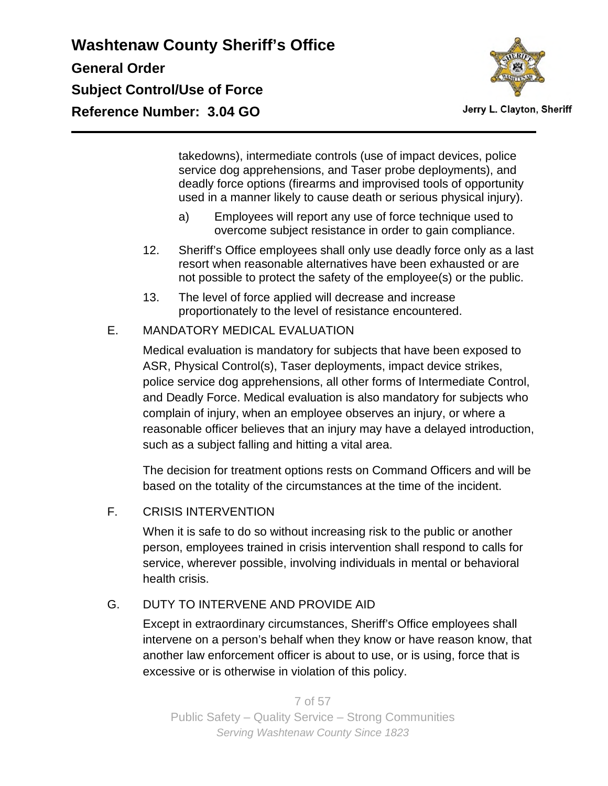

Jerry L. Clayton, Sheriff

takedowns), intermediate controls (use of impact devices, police service dog apprehensions, and Taser probe deployments), and deadly force options (firearms and improvised tools of opportunity used in a manner likely to cause death or serious physical injury).

- a) Employees will report any use of force technique used to overcome subject resistance in order to gain compliance.
- 12. Sheriff's Office employees shall only use deadly force only as a last resort when reasonable alternatives have been exhausted or are not possible to protect the safety of the employee(s) or the public.
- 13. The level of force applied will decrease and increase proportionately to the level of resistance encountered.
- E. MANDATORY MEDICAL EVALUATION

Medical evaluation is mandatory for subjects that have been exposed to ASR, Physical Control(s), Taser deployments, impact device strikes, police service dog apprehensions, all other forms of Intermediate Control, and Deadly Force. Medical evaluation is also mandatory for subjects who complain of injury, when an employee observes an injury, or where a reasonable officer believes that an injury may have a delayed introduction, such as a subject falling and hitting a vital area.

The decision for treatment options rests on Command Officers and will be based on the totality of the circumstances at the time of the incident.

F. CRISIS INTERVENTION

When it is safe to do so without increasing risk to the public or another person, employees trained in crisis intervention shall respond to calls for service, wherever possible, involving individuals in mental or behavioral health crisis.

### G. DUTY TO INTERVENE AND PROVIDE AID

Except in extraordinary circumstances, Sheriff's Office employees shall intervene on a person's behalf when they know or have reason know, that another law enforcement officer is about to use, or is using, force that is excessive or is otherwise in violation of this policy.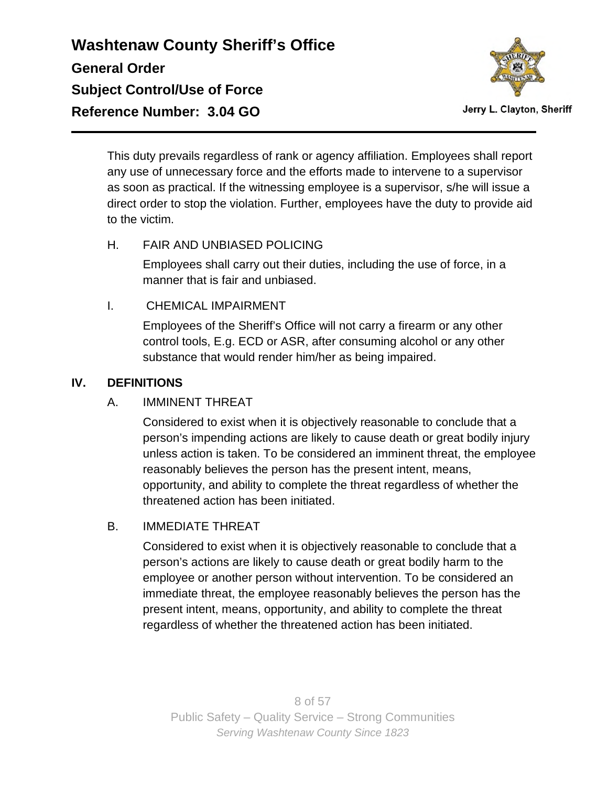

Jerry L. Clayton, Sheriff

This duty prevails regardless of rank or agency affiliation. Employees shall report any use of unnecessary force and the efforts made to intervene to a supervisor as soon as practical. If the witnessing employee is a supervisor, s/he will issue a direct order to stop the violation. Further, employees have the duty to provide aid to the victim.

### H. FAIR AND UNBIASED POLICING

Employees shall carry out their duties, including the use of force, in a manner that is fair and unbiased.

### I. CHEMICAL IMPAIRMENT

Employees of the Sheriff's Office will not carry a firearm or any other control tools, E.g. ECD or ASR, after consuming alcohol or any other substance that would render him/her as being impaired.

### **IV. DEFINITIONS**

### A. IMMINENT THREAT

Considered to exist when it is objectively reasonable to conclude that a person's impending actions are likely to cause death or great bodily injury unless action is taken. To be considered an imminent threat, the employee reasonably believes the person has the present intent, means, opportunity, and ability to complete the threat regardless of whether the threatened action has been initiated.

### B. IMMEDIATE THREAT

Considered to exist when it is objectively reasonable to conclude that a person's actions are likely to cause death or great bodily harm to the employee or another person without intervention. To be considered an immediate threat, the employee reasonably believes the person has the present intent, means, opportunity, and ability to complete the threat regardless of whether the threatened action has been initiated.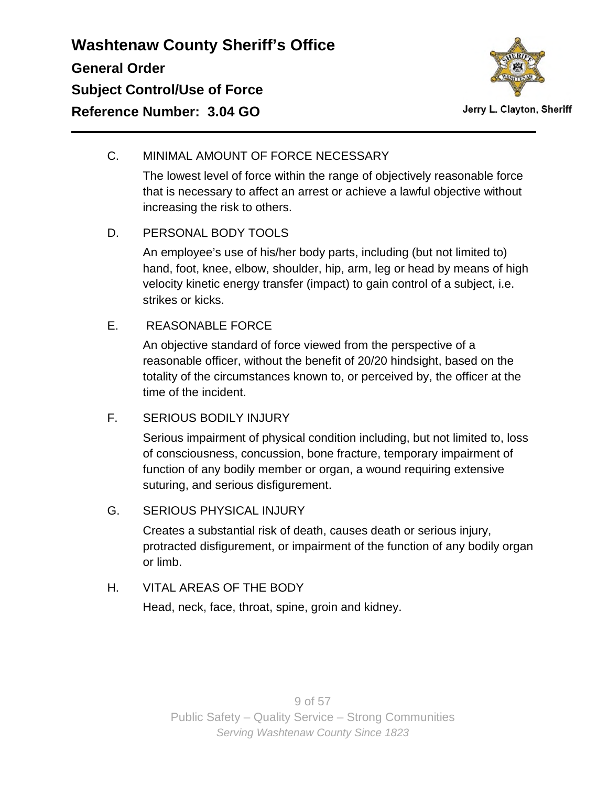

### C. MINIMAL AMOUNT OF FORCE NECESSARY

The lowest level of force within the range of objectively reasonable force that is necessary to affect an arrest or achieve a lawful objective without increasing the risk to others.

### D. PERSONAL BODY TOOLS

An employee's use of his/her body parts, including (but not limited to) hand, foot, knee, elbow, shoulder, hip, arm, leg or head by means of high velocity kinetic energy transfer (impact) to gain control of a subject, i.e. strikes or kicks.

### E. REASONABLE FORCE

An objective standard of force viewed from the perspective of a reasonable officer, without the benefit of 20/20 hindsight, based on the totality of the circumstances known to, or perceived by, the officer at the time of the incident.

### F. SERIOUS BODILY INJURY

Serious impairment of physical condition including, but not limited to, loss of consciousness, concussion, bone fracture, temporary impairment of function of any bodily member or organ, a wound requiring extensive suturing, and serious disfigurement.

### G. SERIOUS PHYSICAL INJURY

Creates a substantial risk of death, causes death or serious injury, protracted disfigurement, or impairment of the function of any bodily organ or limb.

### H. VITAL AREAS OF THE BODY

Head, neck, face, throat, spine, groin and kidney.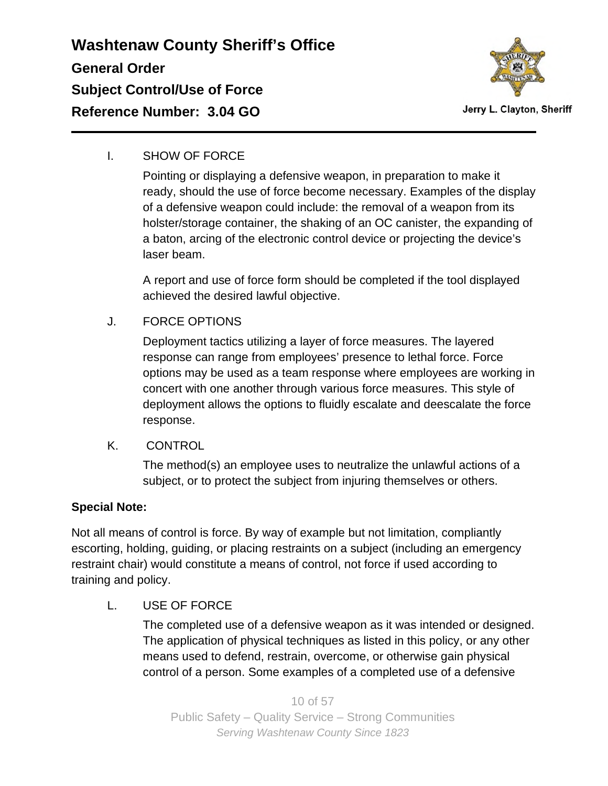

I. SHOW OF FORCE

Pointing or displaying a defensive weapon, in preparation to make it ready, should the use of force become necessary. Examples of the display of a defensive weapon could include: the removal of a weapon from its holster/storage container, the shaking of an OC canister, the expanding of a baton, arcing of the electronic control device or projecting the device's laser beam.

A report and use of force form should be completed if the tool displayed achieved the desired lawful objective.

J. FORCE OPTIONS

Deployment tactics utilizing a layer of force measures. The layered response can range from employees' presence to lethal force. Force options may be used as a team response where employees are working in concert with one another through various force measures. This style of deployment allows the options to fluidly escalate and deescalate the force response.

K. CONTROL

The method(s) an employee uses to neutralize the unlawful actions of a subject, or to protect the subject from injuring themselves or others.

### **Special Note:**

Not all means of control is force. By way of example but not limitation, compliantly escorting, holding, guiding, or placing restraints on a subject (including an emergency restraint chair) would constitute a means of control, not force if used according to training and policy.

L. USE OF FORCE

The completed use of a defensive weapon as it was intended or designed. The application of physical techniques as listed in this policy, or any other means used to defend, restrain, overcome, or otherwise gain physical control of a person. Some examples of a completed use of a defensive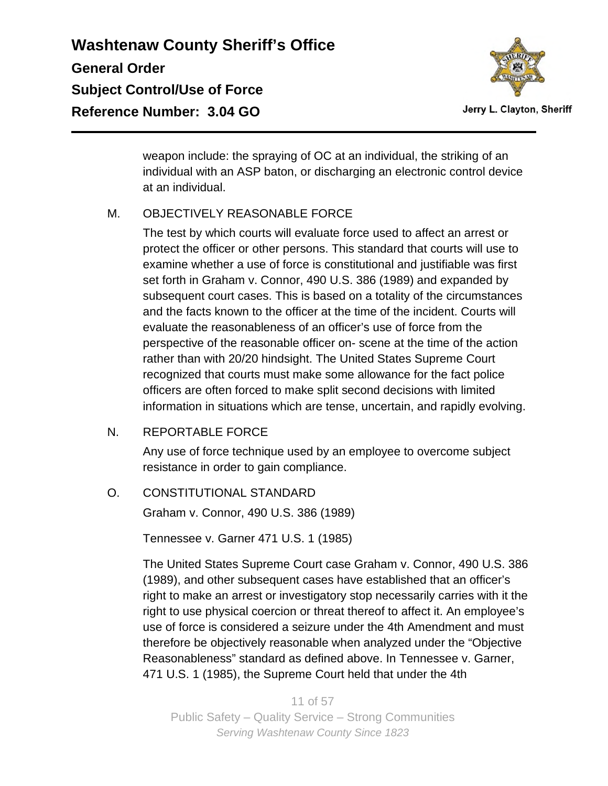

Jerry L. Clayton, Sheriff

weapon include: the spraying of OC at an individual, the striking of an individual with an ASP baton, or discharging an electronic control device at an individual.

### M. OBJECTIVELY REASONABLE FORCE

The test by which courts will evaluate force used to affect an arrest or protect the officer or other persons. This standard that courts will use to examine whether a use of force is constitutional and justifiable was first set forth in Graham v. Connor, 490 U.S. 386 (1989) and expanded by subsequent court cases. This is based on a totality of the circumstances and the facts known to the officer at the time of the incident. Courts will evaluate the reasonableness of an officer's use of force from the perspective of the reasonable officer on- scene at the time of the action rather than with 20/20 hindsight. The United States Supreme Court recognized that courts must make some allowance for the fact police officers are often forced to make split second decisions with limited information in situations which are tense, uncertain, and rapidly evolving.

### N. REPORTABLE FORCE

Any use of force technique used by an employee to overcome subject resistance in order to gain compliance.

O. CONSTITUTIONAL STANDARD

Graham v. Connor, 490 U.S. 386 (1989)

Tennessee v. Garner 471 U.S. 1 (1985)

The United States Supreme Court case Graham v. Connor, 490 U.S. 386 (1989), and other subsequent cases have established that an officer's right to make an arrest or investigatory stop necessarily carries with it the right to use physical coercion or threat thereof to affect it. An employee's use of force is considered a seizure under the 4th Amendment and must therefore be objectively reasonable when analyzed under the "Objective Reasonableness" standard as defined above. In Tennessee v. Garner, 471 U.S. 1 (1985), the Supreme Court held that under the 4th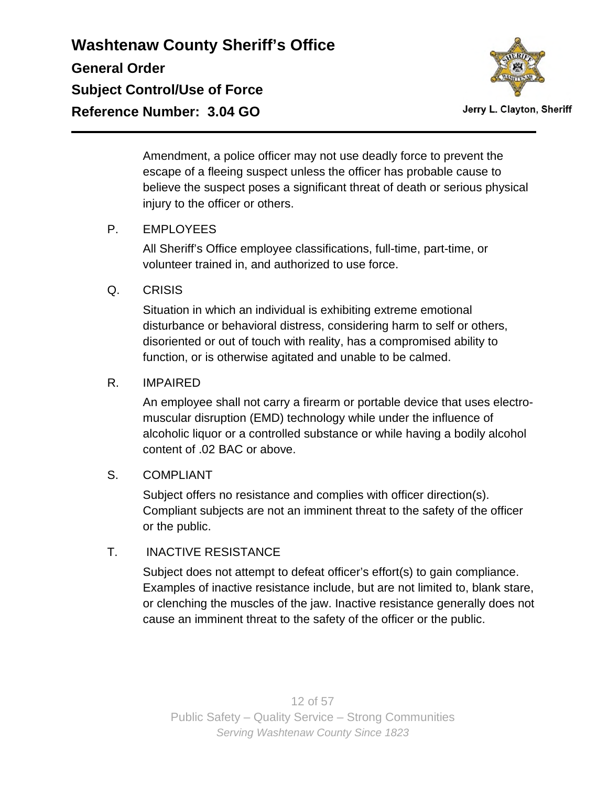

Jerry L. Clayton, Sheriff

Amendment, a police officer may not use deadly force to prevent the escape of a fleeing suspect unless the officer has probable cause to believe the suspect poses a significant threat of death or serious physical injury to the officer or others.

### P. EMPLOYEES

All Sheriff's Office employee classifications, full-time, part-time, or volunteer trained in, and authorized to use force.

#### Q. CRISIS

Situation in which an individual is exhibiting extreme emotional disturbance or behavioral distress, considering harm to self or others, disoriented or out of touch with reality, has a compromised ability to function, or is otherwise agitated and unable to be calmed.

#### R. IMPAIRED

An employee shall not carry a firearm or portable device that uses electromuscular disruption (EMD) technology while under the influence of alcoholic liquor or a controlled substance or while having a bodily alcohol content of .02 BAC or above.

#### S. COMPLIANT

Subject offers no resistance and complies with officer direction(s). Compliant subjects are not an imminent threat to the safety of the officer or the public.

### T. INACTIVE RESISTANCE

Subject does not attempt to defeat officer's effort(s) to gain compliance. Examples of inactive resistance include, but are not limited to, blank stare, or clenching the muscles of the jaw. Inactive resistance generally does not cause an imminent threat to the safety of the officer or the public.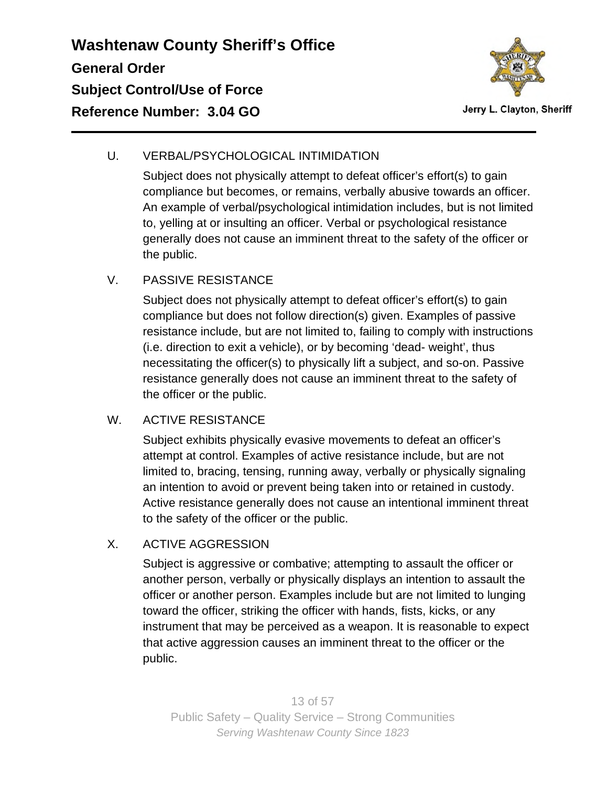

### U. VERBAL/PSYCHOLOGICAL INTIMIDATION

Subject does not physically attempt to defeat officer's effort(s) to gain compliance but becomes, or remains, verbally abusive towards an officer. An example of verbal/psychological intimidation includes, but is not limited to, yelling at or insulting an officer. Verbal or psychological resistance generally does not cause an imminent threat to the safety of the officer or the public.

### V. PASSIVE RESISTANCE

Subject does not physically attempt to defeat officer's effort(s) to gain compliance but does not follow direction(s) given. Examples of passive resistance include, but are not limited to, failing to comply with instructions (i.e. direction to exit a vehicle), or by becoming 'dead- weight', thus necessitating the officer(s) to physically lift a subject, and so-on. Passive resistance generally does not cause an imminent threat to the safety of the officer or the public.

### W. ACTIVE RESISTANCE

Subject exhibits physically evasive movements to defeat an officer's attempt at control. Examples of active resistance include, but are not limited to, bracing, tensing, running away, verbally or physically signaling an intention to avoid or prevent being taken into or retained in custody. Active resistance generally does not cause an intentional imminent threat to the safety of the officer or the public.

### X. ACTIVE AGGRESSION

Subject is aggressive or combative; attempting to assault the officer or another person, verbally or physically displays an intention to assault the officer or another person. Examples include but are not limited to lunging toward the officer, striking the officer with hands, fists, kicks, or any instrument that may be perceived as a weapon. It is reasonable to expect that active aggression causes an imminent threat to the officer or the public.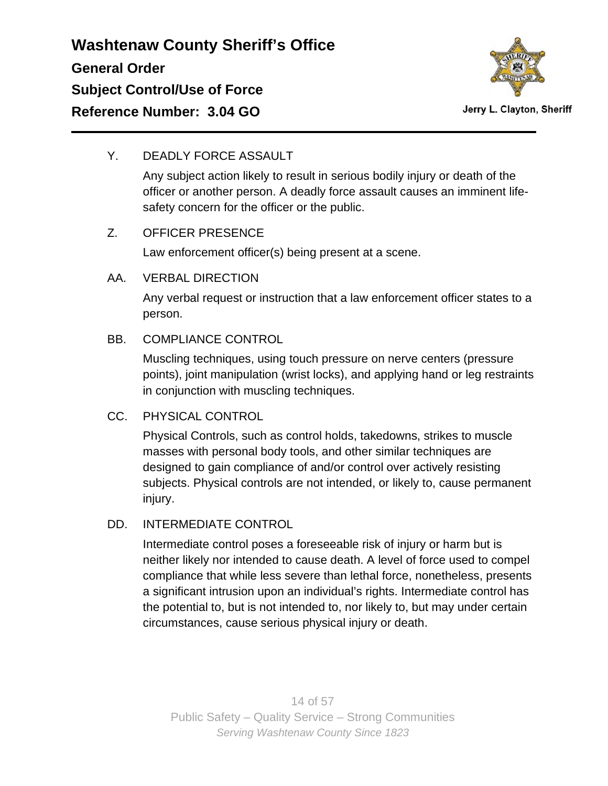

#### Y. DEADLY FORCE ASSAULT

Any subject action likely to result in serious bodily injury or death of the officer or another person. A deadly force assault causes an imminent lifesafety concern for the officer or the public.

### Z. OFFICER PRESENCE

Law enforcement officer(s) being present at a scene.

#### AA. VERBAL DIRECTION

Any verbal request or instruction that a law enforcement officer states to a person.

### BB. COMPLIANCE CONTROL

Muscling techniques, using touch pressure on nerve centers (pressure points), joint manipulation (wrist locks), and applying hand or leg restraints in conjunction with muscling techniques.

### CC. PHYSICAL CONTROL

Physical Controls, such as control holds, takedowns, strikes to muscle masses with personal body tools, and other similar techniques are designed to gain compliance of and/or control over actively resisting subjects. Physical controls are not intended, or likely to, cause permanent injury.

### DD. INTERMEDIATE CONTROL

Intermediate control poses a foreseeable risk of injury or harm but is neither likely nor intended to cause death. A level of force used to compel compliance that while less severe than lethal force, nonetheless, presents a significant intrusion upon an individual's rights. Intermediate control has the potential to, but is not intended to, nor likely to, but may under certain circumstances, cause serious physical injury or death.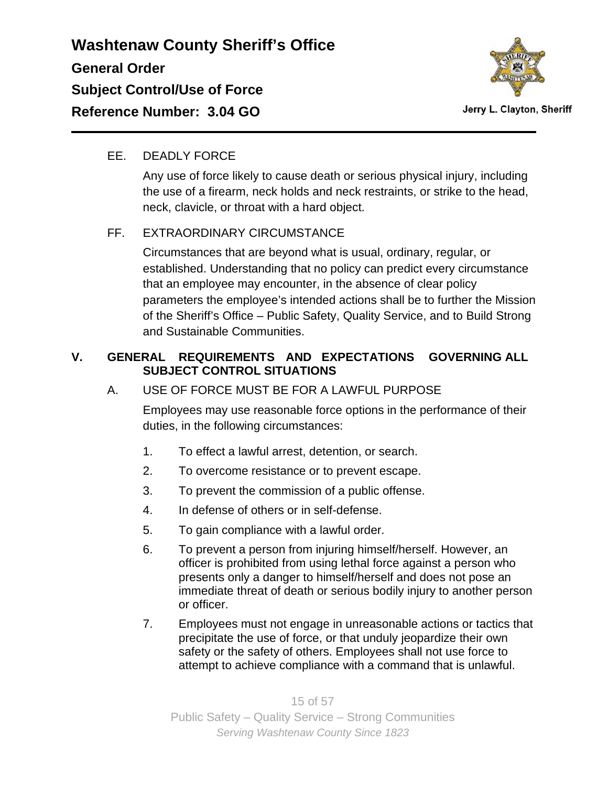

Jerry L. Clayton, Sheriff

### EE. DEADLY FORCE

Any use of force likely to cause death or serious physical injury, including the use of a firearm, neck holds and neck restraints, or strike to the head, neck, clavicle, or throat with a hard object.

### FF. EXTRAORDINARY CIRCUMSTANCE

Circumstances that are beyond what is usual, ordinary, regular, or established. Understanding that no policy can predict every circumstance that an employee may encounter, in the absence of clear policy parameters the employee's intended actions shall be to further the Mission of the Sheriff's Office – Public Safety, Quality Service, and to Build Strong and Sustainable Communities.

### **V. GENERAL REQUIREMENTS AND EXPECTATIONS GOVERNING ALL SUBJECT CONTROL SITUATIONS**

### A. USE OF FORCE MUST BE FOR A LAWFUL PURPOSE

Employees may use reasonable force options in the performance of their duties, in the following circumstances:

- 1. To effect a lawful arrest, detention, or search.
- 2. To overcome resistance or to prevent escape.
- 3. To prevent the commission of a public offense.
- 4. In defense of others or in self-defense.
- 5. To gain compliance with a lawful order.
- 6. To prevent a person from injuring himself/herself. However, an officer is prohibited from using lethal force against a person who presents only a danger to himself/herself and does not pose an immediate threat of death or serious bodily injury to another person or officer.
- 7. Employees must not engage in unreasonable actions or tactics that precipitate the use of force, or that unduly jeopardize their own safety or the safety of others. Employees shall not use force to attempt to achieve compliance with a command that is unlawful.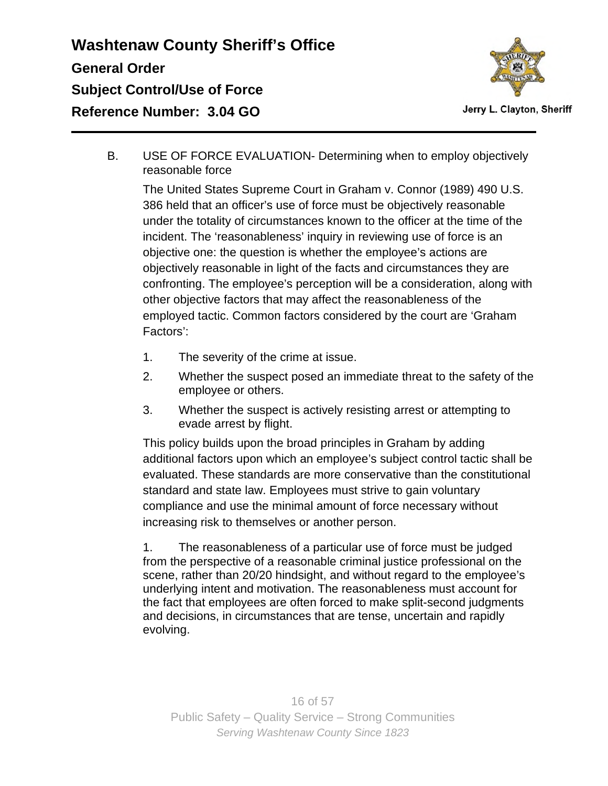

Jerry L. Clayton, Sheriff

B. USE OF FORCE EVALUATION- Determining when to employ objectively reasonable force

The United States Supreme Court in Graham v. Connor (1989) 490 U.S. 386 held that an officer's use of force must be objectively reasonable under the totality of circumstances known to the officer at the time of the incident. The 'reasonableness' inquiry in reviewing use of force is an objective one: the question is whether the employee's actions are objectively reasonable in light of the facts and circumstances they are confronting. The employee's perception will be a consideration, along with other objective factors that may affect the reasonableness of the employed tactic. Common factors considered by the court are 'Graham Factors':

- 1. The severity of the crime at issue.
- 2. Whether the suspect posed an immediate threat to the safety of the employee or others.
- 3. Whether the suspect is actively resisting arrest or attempting to evade arrest by flight.

This policy builds upon the broad principles in Graham by adding additional factors upon which an employee's subject control tactic shall be evaluated. These standards are more conservative than the constitutional standard and state law. Employees must strive to gain voluntary compliance and use the minimal amount of force necessary without increasing risk to themselves or another person.

1. The reasonableness of a particular use of force must be judged from the perspective of a reasonable criminal justice professional on the scene, rather than 20/20 hindsight, and without regard to the employee's underlying intent and motivation. The reasonableness must account for the fact that employees are often forced to make split-second judgments and decisions, in circumstances that are tense, uncertain and rapidly evolving.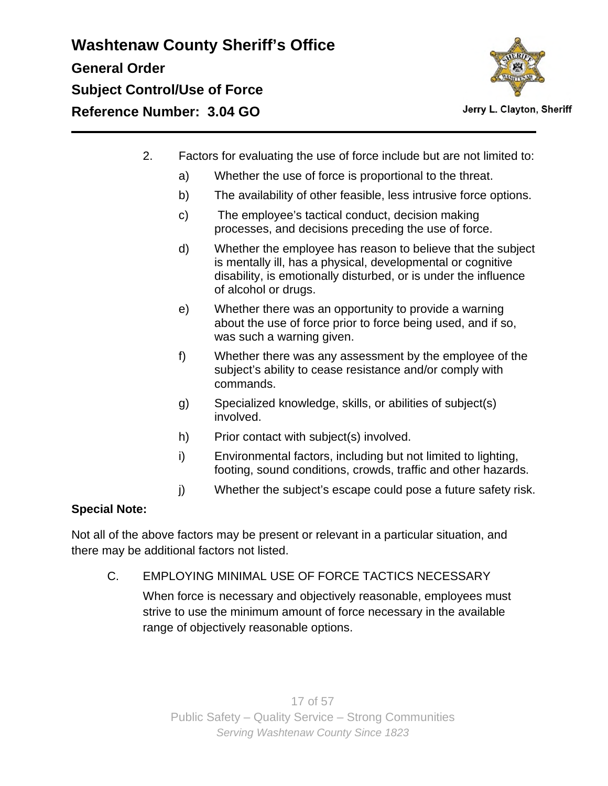

- 2. Factors for evaluating the use of force include but are not limited to:
	- a) Whether the use of force is proportional to the threat.
	- b) The availability of other feasible, less intrusive force options.
	- c) The employee's tactical conduct, decision making processes, and decisions preceding the use of force.
	- d) Whether the employee has reason to believe that the subject is mentally ill, has a physical, developmental or cognitive disability, is emotionally disturbed, or is under the influence of alcohol or drugs.
	- e) Whether there was an opportunity to provide a warning about the use of force prior to force being used, and if so, was such a warning given.
	- f) Whether there was any assessment by the employee of the subject's ability to cease resistance and/or comply with commands.
	- g) Specialized knowledge, skills, or abilities of subject(s) involved.
	- h) Prior contact with subject(s) involved.
	- i) Environmental factors, including but not limited to lighting, footing, sound conditions, crowds, traffic and other hazards.
	- j) Whether the subject's escape could pose a future safety risk.

### **Special Note:**

Not all of the above factors may be present or relevant in a particular situation, and there may be additional factors not listed.

C. EMPLOYING MINIMAL USE OF FORCE TACTICS NECESSARY

When force is necessary and objectively reasonable, employees must strive to use the minimum amount of force necessary in the available range of objectively reasonable options.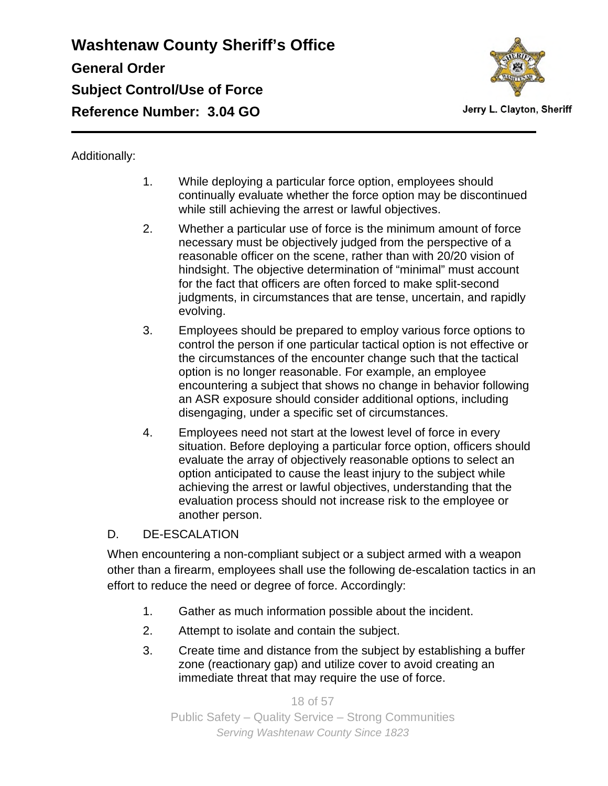

Jerry L. Clayton, Sheriff

### Additionally:

- 1. While deploying a particular force option, employees should continually evaluate whether the force option may be discontinued while still achieving the arrest or lawful objectives.
- 2. Whether a particular use of force is the minimum amount of force necessary must be objectively judged from the perspective of a reasonable officer on the scene, rather than with 20/20 vision of hindsight. The objective determination of "minimal" must account for the fact that officers are often forced to make split-second judgments, in circumstances that are tense, uncertain, and rapidly evolving.
- 3. Employees should be prepared to employ various force options to control the person if one particular tactical option is not effective or the circumstances of the encounter change such that the tactical option is no longer reasonable. For example, an employee encountering a subject that shows no change in behavior following an ASR exposure should consider additional options, including disengaging, under a specific set of circumstances.
- 4. Employees need not start at the lowest level of force in every situation. Before deploying a particular force option, officers should evaluate the array of objectively reasonable options to select an option anticipated to cause the least injury to the subject while achieving the arrest or lawful objectives, understanding that the evaluation process should not increase risk to the employee or another person.

#### D. DE-ESCALATION

When encountering a non-compliant subject or a subject armed with a weapon other than a firearm, employees shall use the following de-escalation tactics in an effort to reduce the need or degree of force. Accordingly:

- 1. Gather as much information possible about the incident.
- 2. Attempt to isolate and contain the subject.
- 3. Create time and distance from the subject by establishing a buffer zone (reactionary gap) and utilize cover to avoid creating an immediate threat that may require the use of force.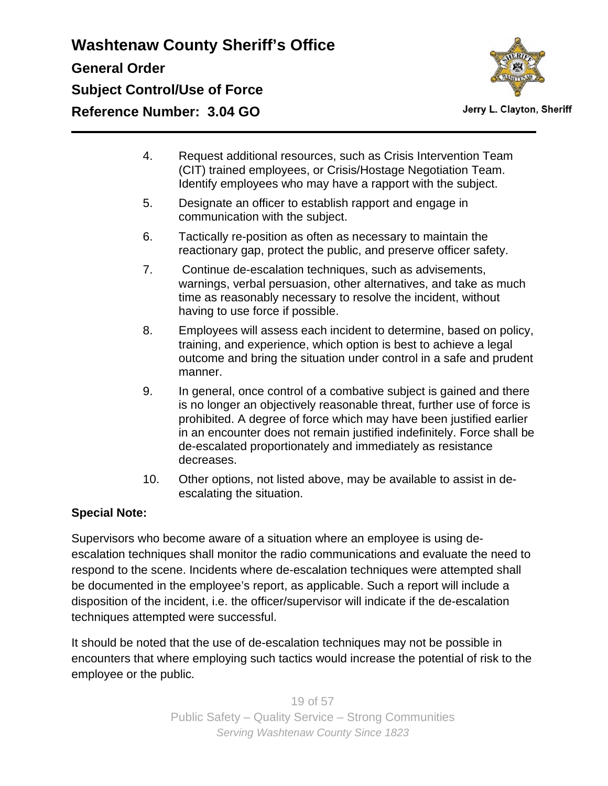

Jerry L. Clayton, Sheriff

- 4. Request additional resources, such as Crisis Intervention Team (CIT) trained employees, or Crisis/Hostage Negotiation Team. Identify employees who may have a rapport with the subject.
- 5. Designate an officer to establish rapport and engage in communication with the subject.
- 6. Tactically re-position as often as necessary to maintain the reactionary gap, protect the public, and preserve officer safety.
- 7. Continue de-escalation techniques, such as advisements, warnings, verbal persuasion, other alternatives, and take as much time as reasonably necessary to resolve the incident, without having to use force if possible.
- 8. Employees will assess each incident to determine, based on policy, training, and experience, which option is best to achieve a legal outcome and bring the situation under control in a safe and prudent manner.
- 9. In general, once control of a combative subject is gained and there is no longer an objectively reasonable threat, further use of force is prohibited. A degree of force which may have been justified earlier in an encounter does not remain justified indefinitely. Force shall be de-escalated proportionately and immediately as resistance decreases.
- 10. Other options, not listed above, may be available to assist in deescalating the situation.

### **Special Note:**

Supervisors who become aware of a situation where an employee is using deescalation techniques shall monitor the radio communications and evaluate the need to respond to the scene. Incidents where de-escalation techniques were attempted shall be documented in the employee's report, as applicable. Such a report will include a disposition of the incident, i.e. the officer/supervisor will indicate if the de-escalation techniques attempted were successful.

It should be noted that the use of de-escalation techniques may not be possible in encounters that where employing such tactics would increase the potential of risk to the employee or the public.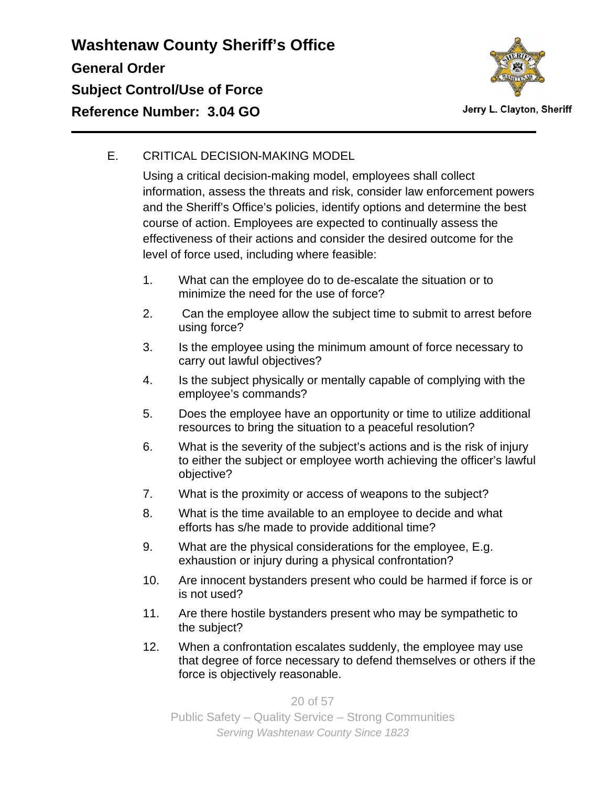

### E. CRITICAL DECISION-MAKING MODEL

Using a critical decision-making model, employees shall collect information, assess the threats and risk, consider law enforcement powers and the Sheriff's Office's policies, identify options and determine the best course of action. Employees are expected to continually assess the effectiveness of their actions and consider the desired outcome for the level of force used, including where feasible:

- 1. What can the employee do to de-escalate the situation or to minimize the need for the use of force?
- 2. Can the employee allow the subject time to submit to arrest before using force?
- 3. Is the employee using the minimum amount of force necessary to carry out lawful objectives?
- 4. Is the subject physically or mentally capable of complying with the employee's commands?
- 5. Does the employee have an opportunity or time to utilize additional resources to bring the situation to a peaceful resolution?
- 6. What is the severity of the subject's actions and is the risk of injury to either the subject or employee worth achieving the officer's lawful objective?
- 7. What is the proximity or access of weapons to the subject?
- 8. What is the time available to an employee to decide and what efforts has s/he made to provide additional time?
- 9. What are the physical considerations for the employee, E.g. exhaustion or injury during a physical confrontation?
- 10. Are innocent bystanders present who could be harmed if force is or is not used?
- 11. Are there hostile bystanders present who may be sympathetic to the subject?
- 12. When a confrontation escalates suddenly, the employee may use that degree of force necessary to defend themselves or others if the force is objectively reasonable.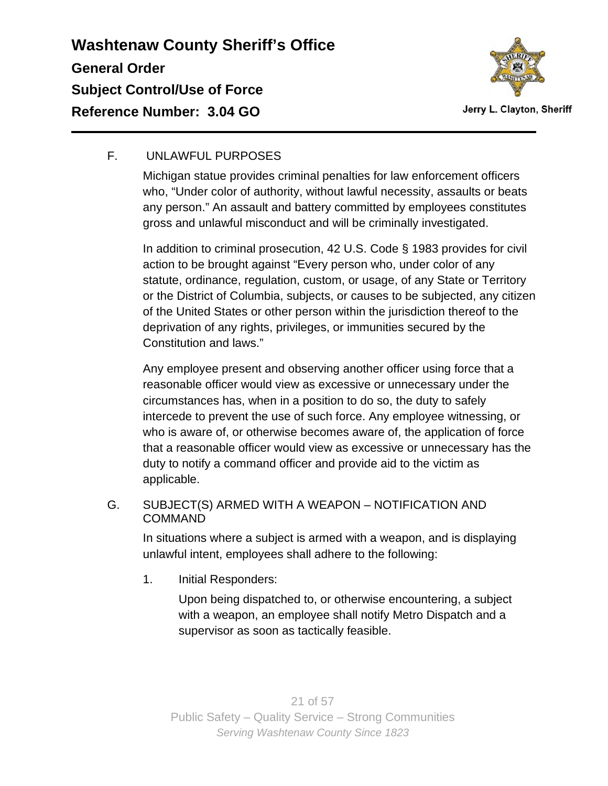

### F. UNLAWFUL PURPOSES

Michigan statue provides criminal penalties for law enforcement officers who, "Under color of authority, without lawful necessity, assaults or beats any person." An assault and battery committed by employees constitutes gross and unlawful misconduct and will be criminally investigated.

In addition to criminal prosecution, 42 U.S. Code § 1983 provides for civil action to be brought against "Every person who, under color of any statute, ordinance, regulation, custom, or usage, of any State or Territory or the District of Columbia, subjects, or causes to be subjected, any citizen of the United States or other person within the jurisdiction thereof to the deprivation of any rights, privileges, or immunities secured by the Constitution and laws."

Any employee present and observing another officer using force that a reasonable officer would view as excessive or unnecessary under the circumstances has, when in a position to do so, the duty to safely intercede to prevent the use of such force. Any employee witnessing, or who is aware of, or otherwise becomes aware of, the application of force that a reasonable officer would view as excessive or unnecessary has the duty to notify a command officer and provide aid to the victim as applicable.

G. SUBJECT(S) ARMED WITH A WEAPON – NOTIFICATION AND COMMAND

In situations where a subject is armed with a weapon, and is displaying unlawful intent, employees shall adhere to the following:

1. Initial Responders:

Upon being dispatched to, or otherwise encountering, a subject with a weapon, an employee shall notify Metro Dispatch and a supervisor as soon as tactically feasible.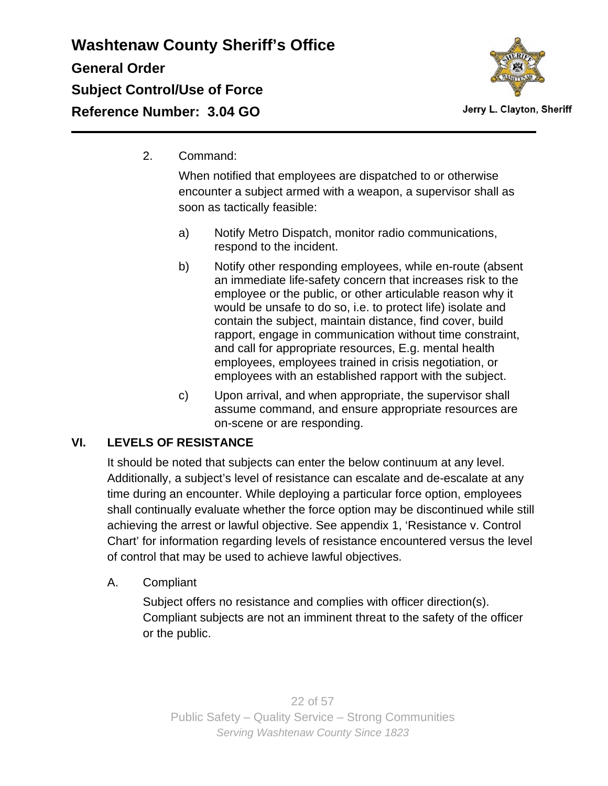

2. Command:

When notified that employees are dispatched to or otherwise encounter a subject armed with a weapon, a supervisor shall as soon as tactically feasible:

- a) Notify Metro Dispatch, monitor radio communications, respond to the incident.
- b) Notify other responding employees, while en-route (absent an immediate life-safety concern that increases risk to the employee or the public, or other articulable reason why it would be unsafe to do so, i.e. to protect life) isolate and contain the subject, maintain distance, find cover, build rapport, engage in communication without time constraint, and call for appropriate resources, E.g. mental health employees, employees trained in crisis negotiation, or employees with an established rapport with the subject.
- c) Upon arrival, and when appropriate, the supervisor shall assume command, and ensure appropriate resources are on-scene or are responding.

### **VI. LEVELS OF RESISTANCE**

It should be noted that subjects can enter the below continuum at any level. Additionally, a subject's level of resistance can escalate and de-escalate at any time during an encounter. While deploying a particular force option, employees shall continually evaluate whether the force option may be discontinued while still achieving the arrest or lawful objective. See appendix 1, 'Resistance v. Control Chart' for information regarding levels of resistance encountered versus the level of control that may be used to achieve lawful objectives.

A. Compliant

Subject offers no resistance and complies with officer direction(s). Compliant subjects are not an imminent threat to the safety of the officer or the public.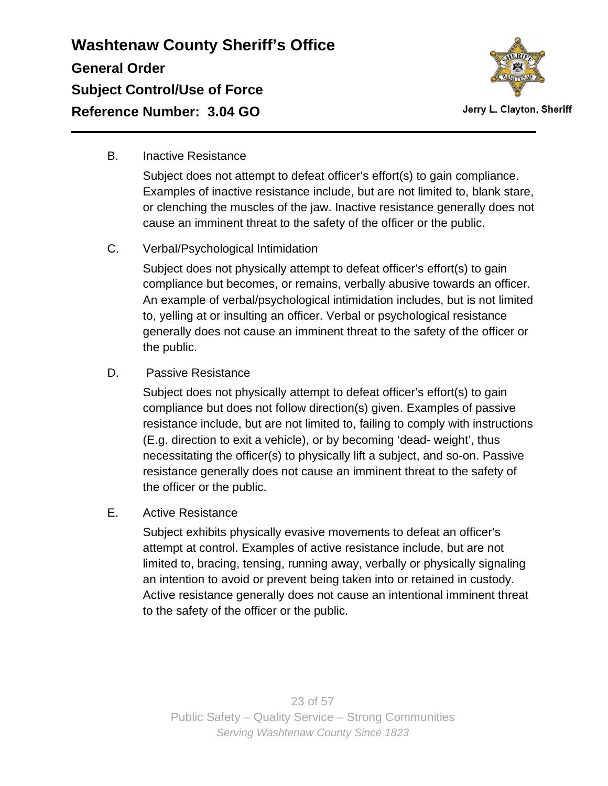

B. Inactive Resistance

Subject does not attempt to defeat officer's effort(s) to gain compliance. Examples of inactive resistance include, but are not limited to, blank stare, or clenching the muscles of the jaw. Inactive resistance generally does not cause an imminent threat to the safety of the officer or the public.

C. Verbal/Psychological Intimidation

Subject does not physically attempt to defeat officer's effort(s) to gain compliance but becomes, or remains, verbally abusive towards an officer. An example of verbal/psychological intimidation includes, but is not limited to, yelling at or insulting an officer. Verbal or psychological resistance generally does not cause an imminent threat to the safety of the officer or the public.

D. Passive Resistance

Subject does not physically attempt to defeat officer's effort(s) to gain compliance but does not follow direction(s) given. Examples of passive resistance include, but are not limited to, failing to comply with instructions (E.g. direction to exit a vehicle), or by becoming 'dead- weight', thus necessitating the officer(s) to physically lift a subject, and so-on. Passive resistance generally does not cause an imminent threat to the safety of the officer or the public.

E. Active Resistance

Subject exhibits physically evasive movements to defeat an officer's attempt at control. Examples of active resistance include, but are not limited to, bracing, tensing, running away, verbally or physically signaling an intention to avoid or prevent being taken into or retained in custody. Active resistance generally does not cause an intentional imminent threat to the safety of the officer or the public.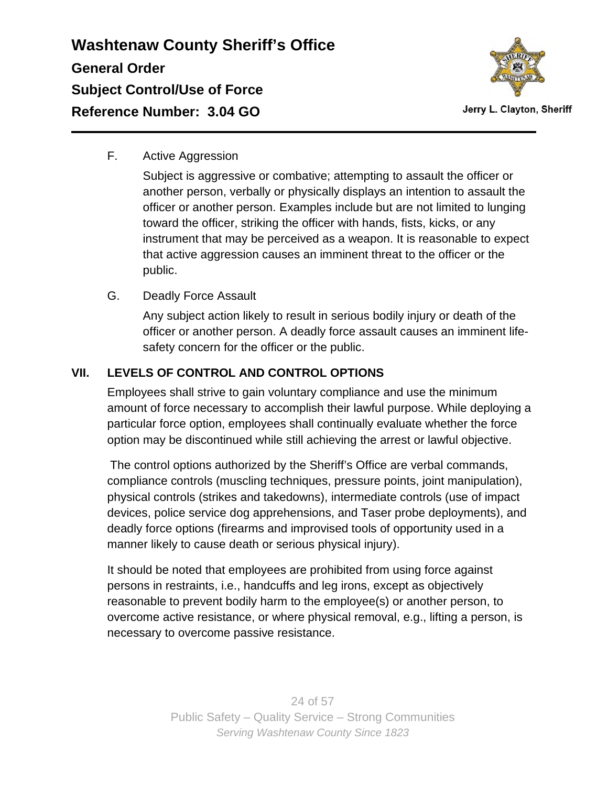

F. Active Aggression

Subject is aggressive or combative; attempting to assault the officer or another person, verbally or physically displays an intention to assault the officer or another person. Examples include but are not limited to lunging toward the officer, striking the officer with hands, fists, kicks, or any instrument that may be perceived as a weapon. It is reasonable to expect that active aggression causes an imminent threat to the officer or the public.

G. Deadly Force Assault

Any subject action likely to result in serious bodily injury or death of the officer or another person. A deadly force assault causes an imminent lifesafety concern for the officer or the public.

### **VII. LEVELS OF CONTROL AND CONTROL OPTIONS**

Employees shall strive to gain voluntary compliance and use the minimum amount of force necessary to accomplish their lawful purpose. While deploying a particular force option, employees shall continually evaluate whether the force option may be discontinued while still achieving the arrest or lawful objective.

The control options authorized by the Sheriff's Office are verbal commands, compliance controls (muscling techniques, pressure points, joint manipulation), physical controls (strikes and takedowns), intermediate controls (use of impact devices, police service dog apprehensions, and Taser probe deployments), and deadly force options (firearms and improvised tools of opportunity used in a manner likely to cause death or serious physical injury).

It should be noted that employees are prohibited from using force against persons in restraints, i.e., handcuffs and leg irons, except as objectively reasonable to prevent bodily harm to the employee(s) or another person, to overcome active resistance, or where physical removal, e.g., lifting a person, is necessary to overcome passive resistance.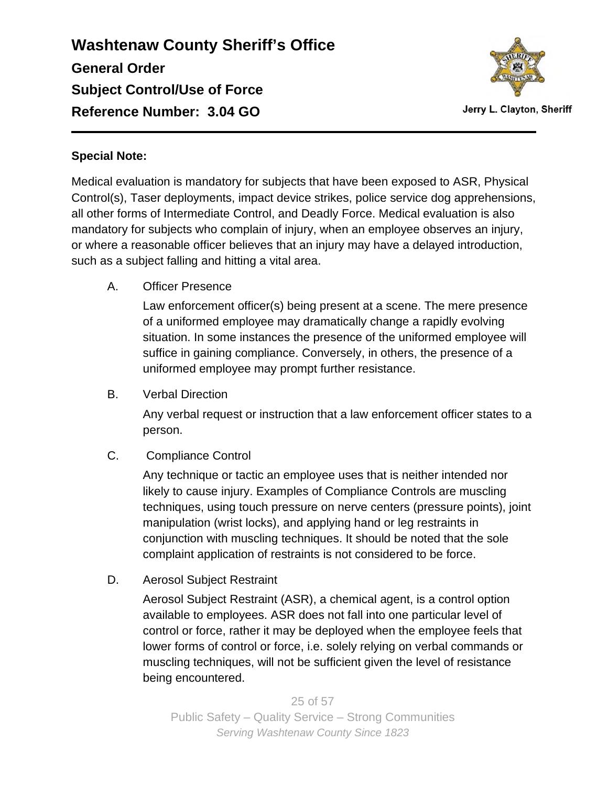

### **Special Note:**

Medical evaluation is mandatory for subjects that have been exposed to ASR, Physical Control(s), Taser deployments, impact device strikes, police service dog apprehensions, all other forms of Intermediate Control, and Deadly Force. Medical evaluation is also mandatory for subjects who complain of injury, when an employee observes an injury, or where a reasonable officer believes that an injury may have a delayed introduction, such as a subject falling and hitting a vital area.

A. Officer Presence

Law enforcement officer(s) being present at a scene. The mere presence of a uniformed employee may dramatically change a rapidly evolving situation. In some instances the presence of the uniformed employee will suffice in gaining compliance. Conversely, in others, the presence of a uniformed employee may prompt further resistance.

B. Verbal Direction

Any verbal request or instruction that a law enforcement officer states to a person.

C. Compliance Control

Any technique or tactic an employee uses that is neither intended nor likely to cause injury. Examples of Compliance Controls are muscling techniques, using touch pressure on nerve centers (pressure points), joint manipulation (wrist locks), and applying hand or leg restraints in conjunction with muscling techniques. It should be noted that the sole complaint application of restraints is not considered to be force.

D. Aerosol Subject Restraint

Aerosol Subject Restraint (ASR), a chemical agent, is a control option available to employees. ASR does not fall into one particular level of control or force, rather it may be deployed when the employee feels that lower forms of control or force, i.e. solely relying on verbal commands or muscling techniques, will not be sufficient given the level of resistance being encountered.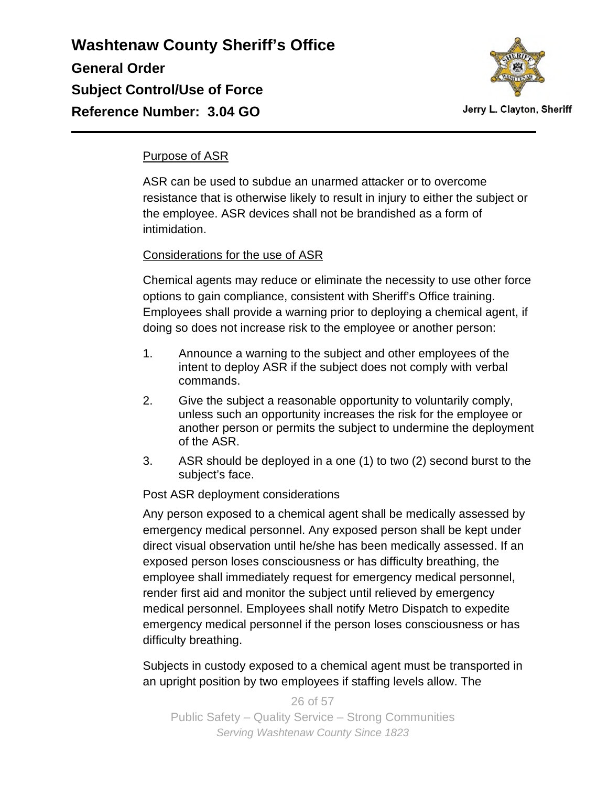

#### Purpose of ASR

ASR can be used to subdue an unarmed attacker or to overcome resistance that is otherwise likely to result in injury to either the subject or the employee. ASR devices shall not be brandished as a form of intimidation.

#### Considerations for the use of ASR

Chemical agents may reduce or eliminate the necessity to use other force options to gain compliance, consistent with Sheriff's Office training. Employees shall provide a warning prior to deploying a chemical agent, if doing so does not increase risk to the employee or another person:

- 1. Announce a warning to the subject and other employees of the intent to deploy ASR if the subject does not comply with verbal commands.
- 2. Give the subject a reasonable opportunity to voluntarily comply, unless such an opportunity increases the risk for the employee or another person or permits the subject to undermine the deployment of the ASR.
- 3. ASR should be deployed in a one (1) to two (2) second burst to the subject's face.

#### Post ASR deployment considerations

Any person exposed to a chemical agent shall be medically assessed by emergency medical personnel. Any exposed person shall be kept under direct visual observation until he/she has been medically assessed. If an exposed person loses consciousness or has difficulty breathing, the employee shall immediately request for emergency medical personnel, render first aid and monitor the subject until relieved by emergency medical personnel. Employees shall notify Metro Dispatch to expedite emergency medical personnel if the person loses consciousness or has difficulty breathing.

Subjects in custody exposed to a chemical agent must be transported in an upright position by two employees if staffing levels allow. The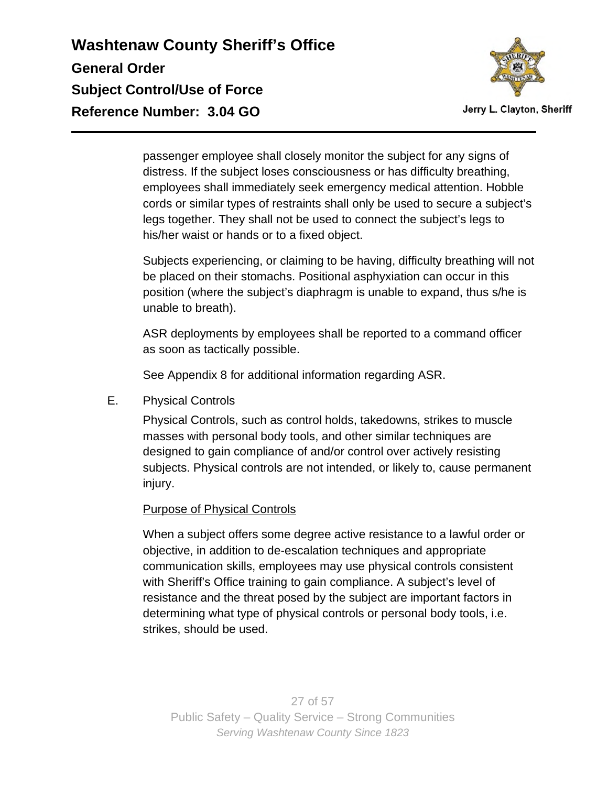

passenger employee shall closely monitor the subject for any signs of distress. If the subject loses consciousness or has difficulty breathing, employees shall immediately seek emergency medical attention. Hobble cords or similar types of restraints shall only be used to secure a subject's legs together. They shall not be used to connect the subject's legs to his/her waist or hands or to a fixed object.

Subjects experiencing, or claiming to be having, difficulty breathing will not be placed on their stomachs. Positional asphyxiation can occur in this position (where the subject's diaphragm is unable to expand, thus s/he is unable to breath).

ASR deployments by employees shall be reported to a command officer as soon as tactically possible.

See Appendix 8 for additional information regarding ASR.

E. Physical Controls

Physical Controls, such as control holds, takedowns, strikes to muscle masses with personal body tools, and other similar techniques are designed to gain compliance of and/or control over actively resisting subjects. Physical controls are not intended, or likely to, cause permanent injury.

#### Purpose of Physical Controls

When a subject offers some degree active resistance to a lawful order or objective, in addition to de-escalation techniques and appropriate communication skills, employees may use physical controls consistent with Sheriff's Office training to gain compliance. A subject's level of resistance and the threat posed by the subject are important factors in determining what type of physical controls or personal body tools, i.e. strikes, should be used.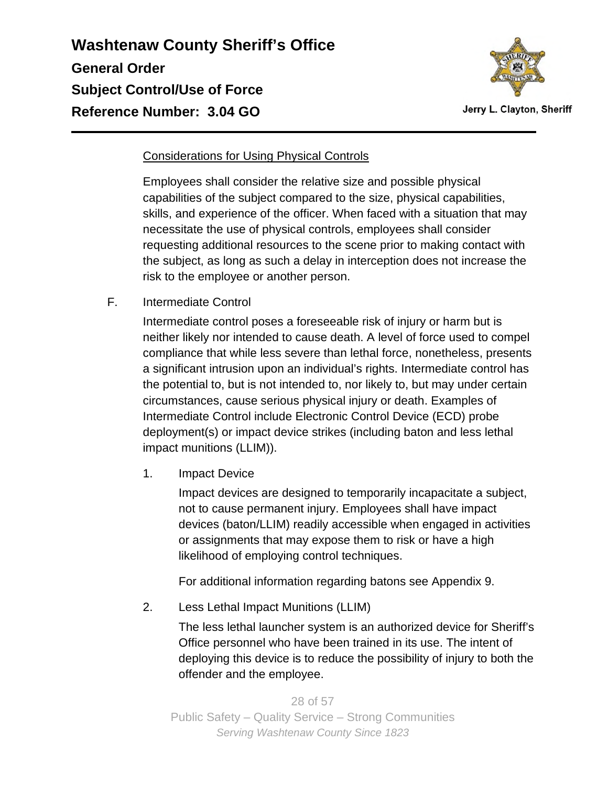

#### Considerations for Using Physical Controls

Employees shall consider the relative size and possible physical capabilities of the subject compared to the size, physical capabilities, skills, and experience of the officer. When faced with a situation that may necessitate the use of physical controls, employees shall consider requesting additional resources to the scene prior to making contact with the subject, as long as such a delay in interception does not increase the risk to the employee or another person.

F. Intermediate Control

Intermediate control poses a foreseeable risk of injury or harm but is neither likely nor intended to cause death. A level of force used to compel compliance that while less severe than lethal force, nonetheless, presents a significant intrusion upon an individual's rights. Intermediate control has the potential to, but is not intended to, nor likely to, but may under certain circumstances, cause serious physical injury or death. Examples of Intermediate Control include Electronic Control Device (ECD) probe deployment(s) or impact device strikes (including baton and less lethal impact munitions (LLIM)).

1. Impact Device

Impact devices are designed to temporarily incapacitate a subject, not to cause permanent injury. Employees shall have impact devices (baton/LLIM) readily accessible when engaged in activities or assignments that may expose them to risk or have a high likelihood of employing control techniques.

For additional information regarding batons see Appendix 9.

2. Less Lethal Impact Munitions (LLIM)

The less lethal launcher system is an authorized device for Sheriff's Office personnel who have been trained in its use. The intent of deploying this device is to reduce the possibility of injury to both the offender and the employee.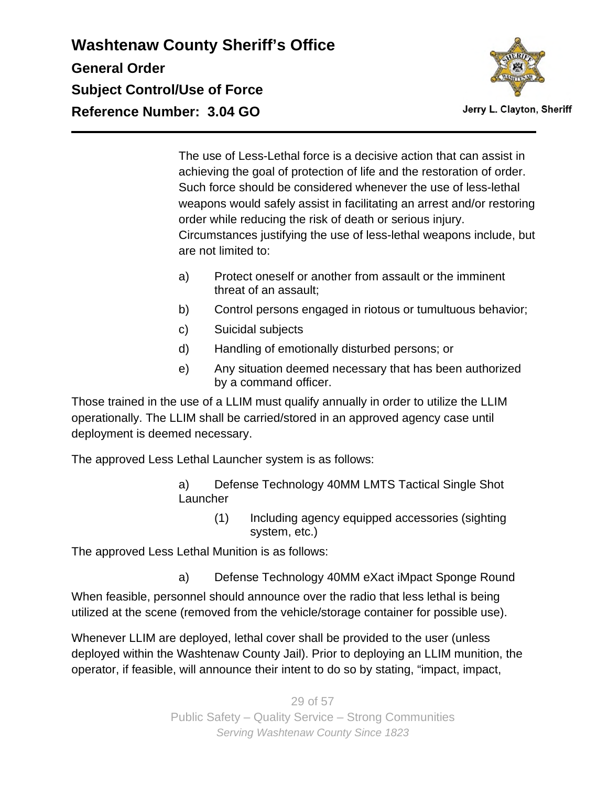

Jerry L. Clayton, Sheriff

The use of Less-Lethal force is a decisive action that can assist in achieving the goal of protection of life and the restoration of order. Such force should be considered whenever the use of less-lethal weapons would safely assist in facilitating an arrest and/or restoring order while reducing the risk of death or serious injury. Circumstances justifying the use of less-lethal weapons include, but are not limited to:

- a) Protect oneself or another from assault or the imminent threat of an assault;
- b) Control persons engaged in riotous or tumultuous behavior;
- c) Suicidal subjects
- d) Handling of emotionally disturbed persons; or
- e) Any situation deemed necessary that has been authorized by a command officer.

Those trained in the use of a LLIM must qualify annually in order to utilize the LLIM operationally. The LLIM shall be carried/stored in an approved agency case until deployment is deemed necessary.

The approved Less Lethal Launcher system is as follows:

- a) Defense Technology 40MM LMTS Tactical Single Shot **Launcher** 
	- (1) Including agency equipped accessories (sighting system, etc.)

The approved Less Lethal Munition is as follows:

a) Defense Technology 40MM eXact iMpact Sponge Round

When feasible, personnel should announce over the radio that less lethal is being utilized at the scene (removed from the vehicle/storage container for possible use).

Whenever LLIM are deployed, lethal cover shall be provided to the user (unless deployed within the Washtenaw County Jail). Prior to deploying an LLIM munition, the operator, if feasible, will announce their intent to do so by stating, "impact, impact,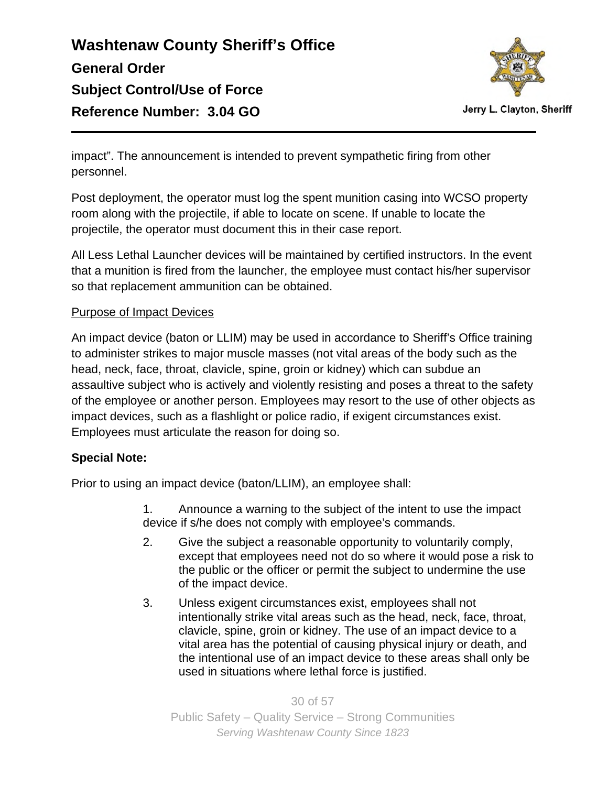

Jerry L. Clayton, Sheriff

impact". The announcement is intended to prevent sympathetic firing from other personnel.

Post deployment, the operator must log the spent munition casing into WCSO property room along with the projectile, if able to locate on scene. If unable to locate the projectile, the operator must document this in their case report.

All Less Lethal Launcher devices will be maintained by certified instructors. In the event that a munition is fired from the launcher, the employee must contact his/her supervisor so that replacement ammunition can be obtained.

#### Purpose of Impact Devices

An impact device (baton or LLIM) may be used in accordance to Sheriff's Office training to administer strikes to major muscle masses (not vital areas of the body such as the head, neck, face, throat, clavicle, spine, groin or kidney) which can subdue an assaultive subject who is actively and violently resisting and poses a threat to the safety of the employee or another person. Employees may resort to the use of other objects as impact devices, such as a flashlight or police radio, if exigent circumstances exist. Employees must articulate the reason for doing so.

### **Special Note:**

Prior to using an impact device (baton/LLIM), an employee shall:

1. Announce a warning to the subject of the intent to use the impact device if s/he does not comply with employee's commands.

- 2. Give the subject a reasonable opportunity to voluntarily comply, except that employees need not do so where it would pose a risk to the public or the officer or permit the subject to undermine the use of the impact device.
- 3. Unless exigent circumstances exist, employees shall not intentionally strike vital areas such as the head, neck, face, throat, clavicle, spine, groin or kidney. The use of an impact device to a vital area has the potential of causing physical injury or death, and the intentional use of an impact device to these areas shall only be used in situations where lethal force is justified.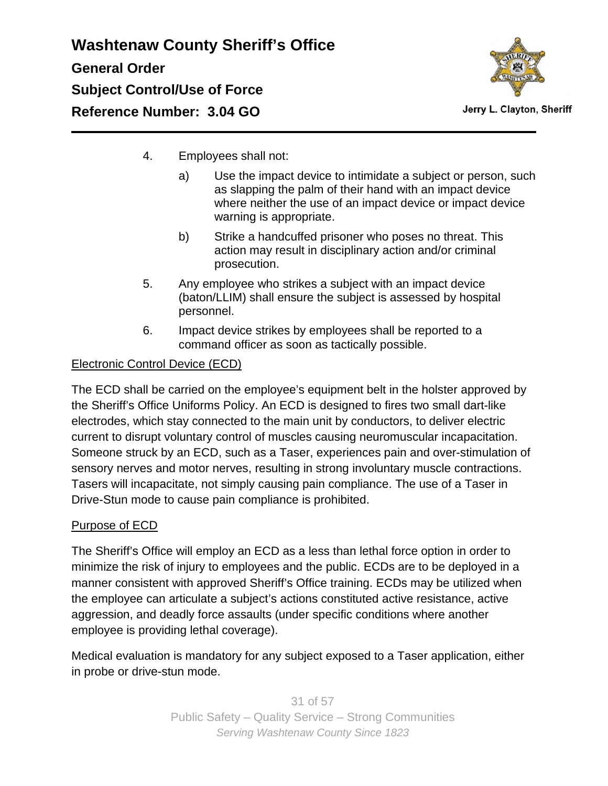

Jerry L. Clayton, Sheriff

- 4. Employees shall not:
	- a) Use the impact device to intimidate a subject or person, such as slapping the palm of their hand with an impact device where neither the use of an impact device or impact device warning is appropriate.
	- b) Strike a handcuffed prisoner who poses no threat. This action may result in disciplinary action and/or criminal prosecution.
- 5. Any employee who strikes a subject with an impact device (baton/LLIM) shall ensure the subject is assessed by hospital personnel.
- 6. Impact device strikes by employees shall be reported to a command officer as soon as tactically possible.

### Electronic Control Device (ECD)

The ECD shall be carried on the employee's equipment belt in the holster approved by the Sheriff's Office Uniforms Policy. An ECD is designed to fires two small dart-like electrodes, which stay connected to the main unit by conductors, to deliver electric current to disrupt voluntary control of muscles causing neuromuscular incapacitation. Someone struck by an ECD, such as a Taser, experiences pain and over-stimulation of sensory nerves and motor nerves, resulting in strong involuntary muscle contractions. Tasers will incapacitate, not simply causing pain compliance. The use of a Taser in Drive-Stun mode to cause pain compliance is prohibited.

### Purpose of ECD

The Sheriff's Office will employ an ECD as a less than lethal force option in order to minimize the risk of injury to employees and the public. ECDs are to be deployed in a manner consistent with approved Sheriff's Office training. ECDs may be utilized when the employee can articulate a subject's actions constituted active resistance, active aggression, and deadly force assaults (under specific conditions where another employee is providing lethal coverage).

Medical evaluation is mandatory for any subject exposed to a Taser application, either in probe or drive-stun mode.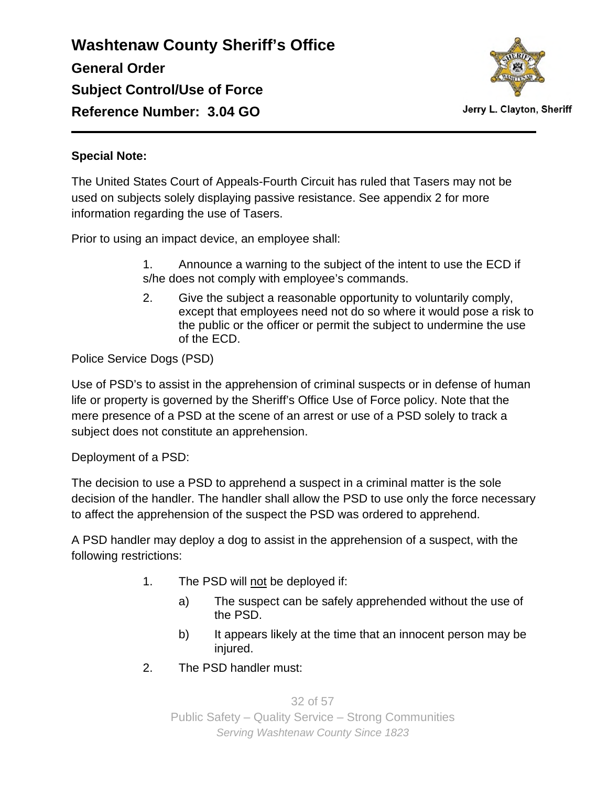

Jerry L. Clayton, Sheriff

#### **Special Note:**

The United States Court of Appeals-Fourth Circuit has ruled that Tasers may not be used on subjects solely displaying passive resistance. See appendix 2 for more information regarding the use of Tasers.

Prior to using an impact device, an employee shall:

- 1. Announce a warning to the subject of the intent to use the ECD if s/he does not comply with employee's commands.
- 2. Give the subject a reasonable opportunity to voluntarily comply, except that employees need not do so where it would pose a risk to the public or the officer or permit the subject to undermine the use of the ECD.

### Police Service Dogs (PSD)

Use of PSD's to assist in the apprehension of criminal suspects or in defense of human life or property is governed by the Sheriff's Office Use of Force policy. Note that the mere presence of a PSD at the scene of an arrest or use of a PSD solely to track a subject does not constitute an apprehension.

Deployment of a PSD:

The decision to use a PSD to apprehend a suspect in a criminal matter is the sole decision of the handler. The handler shall allow the PSD to use only the force necessary to affect the apprehension of the suspect the PSD was ordered to apprehend.

A PSD handler may deploy a dog to assist in the apprehension of a suspect, with the following restrictions:

- 1. The PSD will not be deployed if:
	- a) The suspect can be safely apprehended without the use of the PSD.
	- b) It appears likely at the time that an innocent person may be injured.
- 2. The PSD handler must: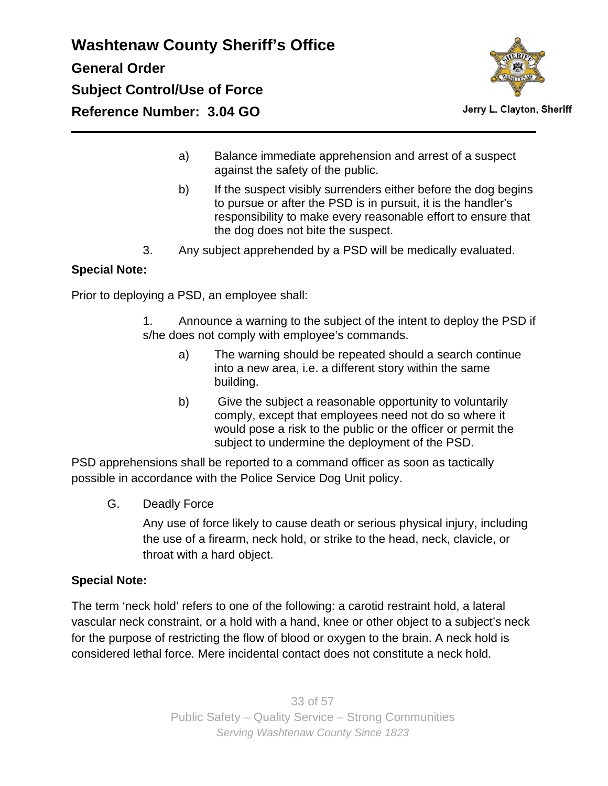

- a) Balance immediate apprehension and arrest of a suspect against the safety of the public.
- b) If the suspect visibly surrenders either before the dog begins to pursue or after the PSD is in pursuit, it is the handler's responsibility to make every reasonable effort to ensure that the dog does not bite the suspect.
- 3. Any subject apprehended by a PSD will be medically evaluated.

#### **Special Note:**

Prior to deploying a PSD, an employee shall:

- 1. Announce a warning to the subject of the intent to deploy the PSD if s/he does not comply with employee's commands.
	- a) The warning should be repeated should a search continue into a new area, i.e. a different story within the same building.
	- b) Give the subject a reasonable opportunity to voluntarily comply, except that employees need not do so where it would pose a risk to the public or the officer or permit the subject to undermine the deployment of the PSD.

PSD apprehensions shall be reported to a command officer as soon as tactically possible in accordance with the Police Service Dog Unit policy.

G. Deadly Force

Any use of force likely to cause death or serious physical injury, including the use of a firearm, neck hold, or strike to the head, neck, clavicle, or throat with a hard object.

#### **Special Note:**

The term 'neck hold' refers to one of the following: a carotid restraint hold, a lateral vascular neck constraint, or a hold with a hand, knee or other object to a subject's neck for the purpose of restricting the flow of blood or oxygen to the brain. A neck hold is considered lethal force. Mere incidental contact does not constitute a neck hold.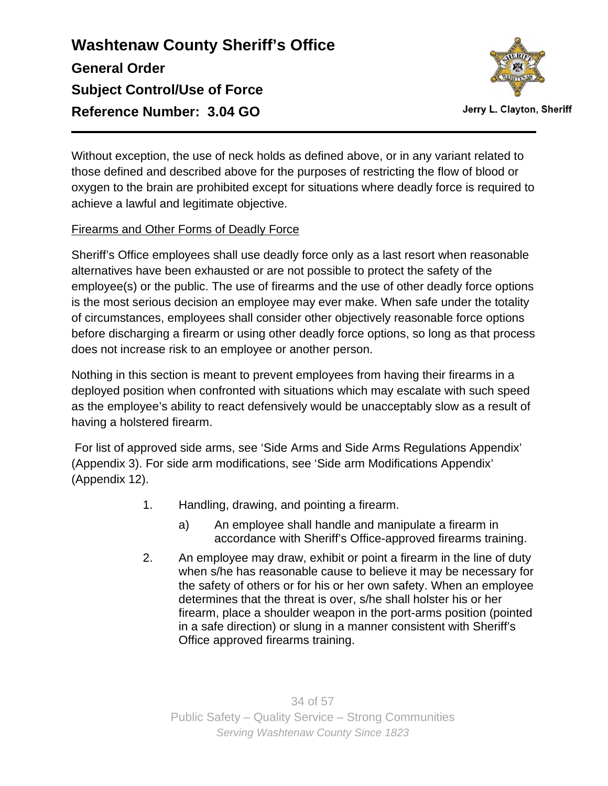

Without exception, the use of neck holds as defined above, or in any variant related to those defined and described above for the purposes of restricting the flow of blood or oxygen to the brain are prohibited except for situations where deadly force is required to achieve a lawful and legitimate objective.

### Firearms and Other Forms of Deadly Force

Sheriff's Office employees shall use deadly force only as a last resort when reasonable alternatives have been exhausted or are not possible to protect the safety of the employee(s) or the public. The use of firearms and the use of other deadly force options is the most serious decision an employee may ever make. When safe under the totality of circumstances, employees shall consider other objectively reasonable force options before discharging a firearm or using other deadly force options, so long as that process does not increase risk to an employee or another person.

Nothing in this section is meant to prevent employees from having their firearms in a deployed position when confronted with situations which may escalate with such speed as the employee's ability to react defensively would be unacceptably slow as a result of having a holstered firearm.

 For list of approved side arms, see 'Side Arms and Side Arms Regulations Appendix' (Appendix 3). For side arm modifications, see 'Side arm Modifications Appendix' (Appendix 12).

- 1. Handling, drawing, and pointing a firearm.
	- a) An employee shall handle and manipulate a firearm in accordance with Sheriff's Office-approved firearms training.
- 2. An employee may draw, exhibit or point a firearm in the line of duty when s/he has reasonable cause to believe it may be necessary for the safety of others or for his or her own safety. When an employee determines that the threat is over, s/he shall holster his or her firearm, place a shoulder weapon in the port-arms position (pointed in a safe direction) or slung in a manner consistent with Sheriff's Office approved firearms training.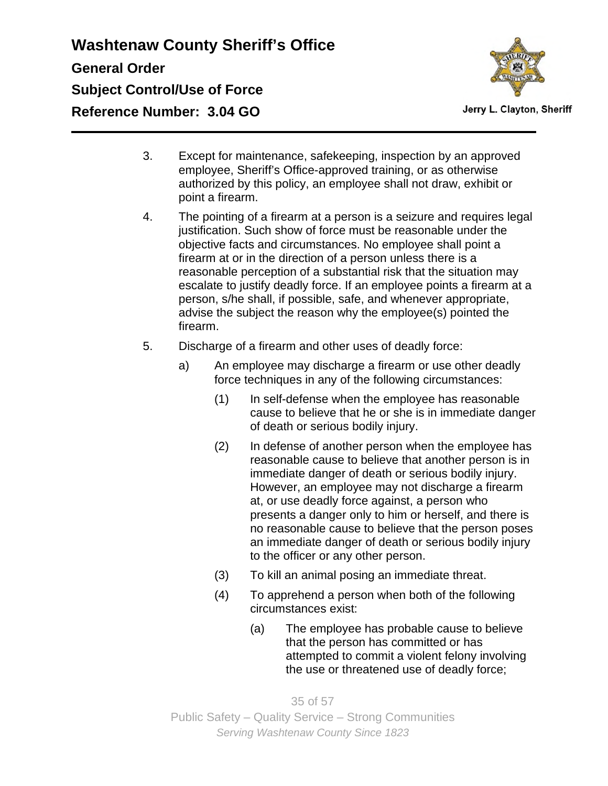

Jerry L. Clayton, Sheriff

- 3. Except for maintenance, safekeeping, inspection by an approved employee, Sheriff's Office-approved training, or as otherwise authorized by this policy, an employee shall not draw, exhibit or point a firearm.
- 4. The pointing of a firearm at a person is a seizure and requires legal justification. Such show of force must be reasonable under the objective facts and circumstances. No employee shall point a firearm at or in the direction of a person unless there is a reasonable perception of a substantial risk that the situation may escalate to justify deadly force. If an employee points a firearm at a person, s/he shall, if possible, safe, and whenever appropriate, advise the subject the reason why the employee(s) pointed the firearm.
- 5. Discharge of a firearm and other uses of deadly force:
	- a) An employee may discharge a firearm or use other deadly force techniques in any of the following circumstances:
		- (1) In self-defense when the employee has reasonable cause to believe that he or she is in immediate danger of death or serious bodily injury.
		- (2) In defense of another person when the employee has reasonable cause to believe that another person is in immediate danger of death or serious bodily injury. However, an employee may not discharge a firearm at, or use deadly force against, a person who presents a danger only to him or herself, and there is no reasonable cause to believe that the person poses an immediate danger of death or serious bodily injury to the officer or any other person.
		- (3) To kill an animal posing an immediate threat.
		- (4) To apprehend a person when both of the following circumstances exist:
			- (a) The employee has probable cause to believe that the person has committed or has attempted to commit a violent felony involving the use or threatened use of deadly force;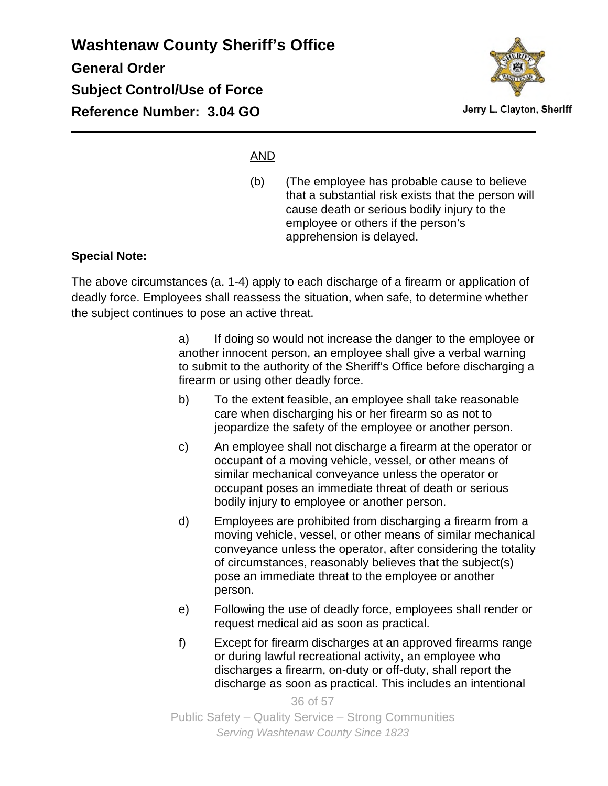

Jerry L. Clayton, Sheriff

#### AND

(b) (The employee has probable cause to believe that a substantial risk exists that the person will cause death or serious bodily injury to the employee or others if the person's apprehension is delayed.

#### **Special Note:**

The above circumstances (a. 1-4) apply to each discharge of a firearm or application of deadly force. Employees shall reassess the situation, when safe, to determine whether the subject continues to pose an active threat.

> a) If doing so would not increase the danger to the employee or another innocent person, an employee shall give a verbal warning to submit to the authority of the Sheriff's Office before discharging a firearm or using other deadly force.

- b) To the extent feasible, an employee shall take reasonable care when discharging his or her firearm so as not to jeopardize the safety of the employee or another person.
- c) An employee shall not discharge a firearm at the operator or occupant of a moving vehicle, vessel, or other means of similar mechanical conveyance unless the operator or occupant poses an immediate threat of death or serious bodily injury to employee or another person.
- d) Employees are prohibited from discharging a firearm from a moving vehicle, vessel, or other means of similar mechanical conveyance unless the operator, after considering the totality of circumstances, reasonably believes that the subject(s) pose an immediate threat to the employee or another person.
- e) Following the use of deadly force, employees shall render or request medical aid as soon as practical.
- f) Except for firearm discharges at an approved firearms range or during lawful recreational activity, an employee who discharges a firearm, on-duty or off-duty, shall report the discharge as soon as practical. This includes an intentional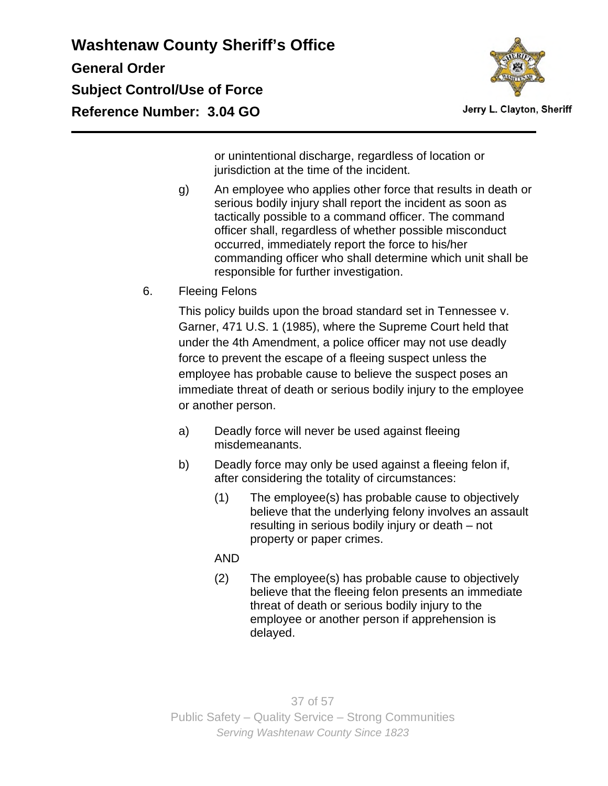

Jerry L. Clayton, Sheriff

or unintentional discharge, regardless of location or jurisdiction at the time of the incident.

- g) An employee who applies other force that results in death or serious bodily injury shall report the incident as soon as tactically possible to a command officer. The command officer shall, regardless of whether possible misconduct occurred, immediately report the force to his/her commanding officer who shall determine which unit shall be responsible for further investigation.
- 6. Fleeing Felons

This policy builds upon the broad standard set in Tennessee v. Garner, 471 U.S. 1 (1985), where the Supreme Court held that under the 4th Amendment, a police officer may not use deadly force to prevent the escape of a fleeing suspect unless the employee has probable cause to believe the suspect poses an immediate threat of death or serious bodily injury to the employee or another person.

- a) Deadly force will never be used against fleeing misdemeanants.
- b) Deadly force may only be used against a fleeing felon if, after considering the totality of circumstances:
	- (1) The employee(s) has probable cause to objectively believe that the underlying felony involves an assault resulting in serious bodily injury or death – not property or paper crimes.

AND

(2) The employee(s) has probable cause to objectively believe that the fleeing felon presents an immediate threat of death or serious bodily injury to the employee or another person if apprehension is delayed.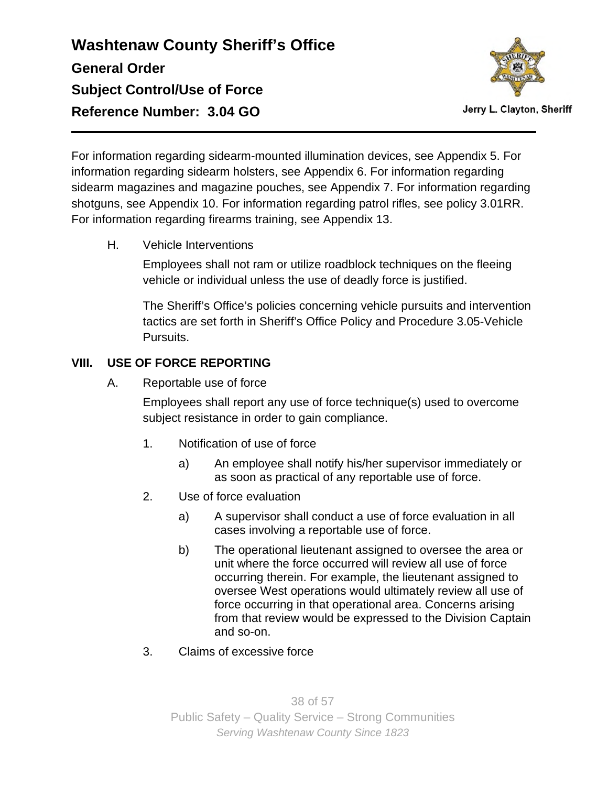

Jerry L. Clayton, Sheriff

For information regarding sidearm-mounted illumination devices, see Appendix 5. For information regarding sidearm holsters, see Appendix 6. For information regarding sidearm magazines and magazine pouches, see Appendix 7. For information regarding shotguns, see Appendix 10. For information regarding patrol rifles, see policy 3.01RR. For information regarding firearms training, see Appendix 13.

H. Vehicle Interventions

Employees shall not ram or utilize roadblock techniques on the fleeing vehicle or individual unless the use of deadly force is justified.

The Sheriff's Office's policies concerning vehicle pursuits and intervention tactics are set forth in Sheriff's Office Policy and Procedure 3.05-Vehicle Pursuits.

### **VIII. USE OF FORCE REPORTING**

A. Reportable use of force

Employees shall report any use of force technique(s) used to overcome subject resistance in order to gain compliance.

- 1. Notification of use of force
	- a) An employee shall notify his/her supervisor immediately or as soon as practical of any reportable use of force.
- 2. Use of force evaluation
	- a) A supervisor shall conduct a use of force evaluation in all cases involving a reportable use of force.
	- b) The operational lieutenant assigned to oversee the area or unit where the force occurred will review all use of force occurring therein. For example, the lieutenant assigned to oversee West operations would ultimately review all use of force occurring in that operational area. Concerns arising from that review would be expressed to the Division Captain and so-on.
- 3. Claims of excessive force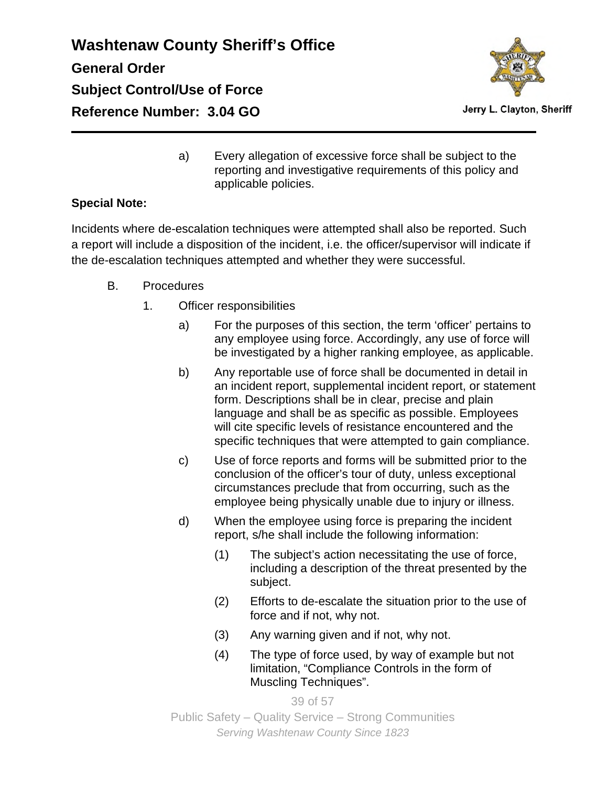

Jerry L. Clayton, Sheriff

a) Every allegation of excessive force shall be subject to the reporting and investigative requirements of this policy and applicable policies.

### **Special Note:**

Incidents where de-escalation techniques were attempted shall also be reported. Such a report will include a disposition of the incident, i.e. the officer/supervisor will indicate if the de-escalation techniques attempted and whether they were successful.

- B. Procedures
	- 1. Officer responsibilities
		- a) For the purposes of this section, the term 'officer' pertains to any employee using force. Accordingly, any use of force will be investigated by a higher ranking employee, as applicable.
		- b) Any reportable use of force shall be documented in detail in an incident report, supplemental incident report, or statement form. Descriptions shall be in clear, precise and plain language and shall be as specific as possible. Employees will cite specific levels of resistance encountered and the specific techniques that were attempted to gain compliance.
		- c) Use of force reports and forms will be submitted prior to the conclusion of the officer's tour of duty, unless exceptional circumstances preclude that from occurring, such as the employee being physically unable due to injury or illness.
		- d) When the employee using force is preparing the incident report, s/he shall include the following information:
			- (1) The subject's action necessitating the use of force, including a description of the threat presented by the subject.
			- (2) Efforts to de-escalate the situation prior to the use of force and if not, why not.
			- (3) Any warning given and if not, why not.
			- (4) The type of force used, by way of example but not limitation, "Compliance Controls in the form of Muscling Techniques".

39 of 57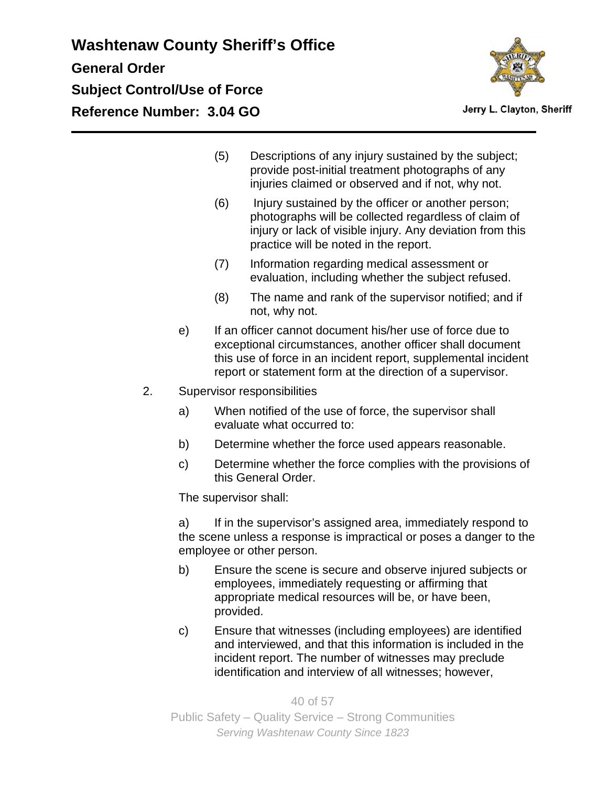

- (5) Descriptions of any injury sustained by the subject; provide post-initial treatment photographs of any injuries claimed or observed and if not, why not.
- (6) Injury sustained by the officer or another person; photographs will be collected regardless of claim of injury or lack of visible injury. Any deviation from this practice will be noted in the report.
- (7) Information regarding medical assessment or evaluation, including whether the subject refused.
- (8) The name and rank of the supervisor notified; and if not, why not.
- e) If an officer cannot document his/her use of force due to exceptional circumstances, another officer shall document this use of force in an incident report, supplemental incident report or statement form at the direction of a supervisor.
- 2. Supervisor responsibilities
	- a) When notified of the use of force, the supervisor shall evaluate what occurred to:
	- b) Determine whether the force used appears reasonable.
	- c) Determine whether the force complies with the provisions of this General Order.

The supervisor shall:

a) If in the supervisor's assigned area, immediately respond to the scene unless a response is impractical or poses a danger to the employee or other person.

- b) Ensure the scene is secure and observe injured subjects or employees, immediately requesting or affirming that appropriate medical resources will be, or have been, provided.
- c) Ensure that witnesses (including employees) are identified and interviewed, and that this information is included in the incident report. The number of witnesses may preclude identification and interview of all witnesses; however,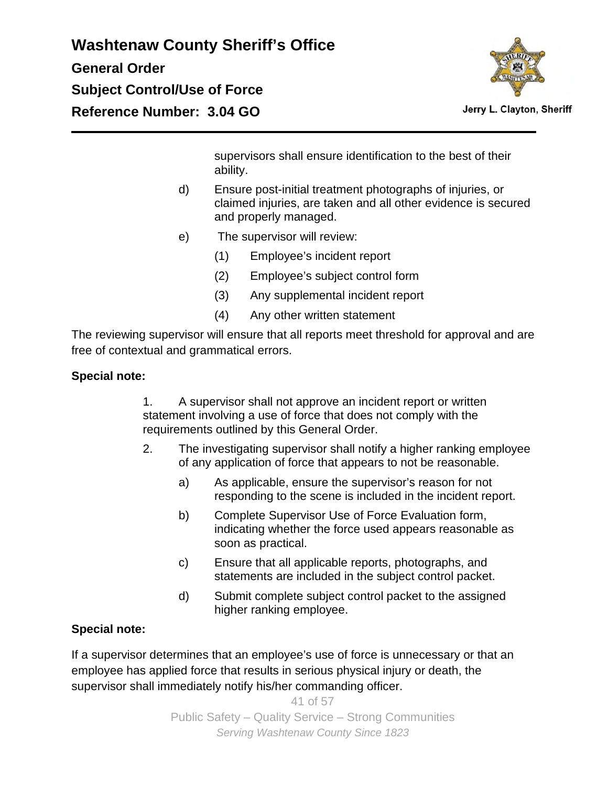

Jerry L. Clayton, Sheriff

supervisors shall ensure identification to the best of their ability.

- d) Ensure post-initial treatment photographs of injuries, or claimed injuries, are taken and all other evidence is secured and properly managed.
- e) The supervisor will review:
	- (1) Employee's incident report
	- (2) Employee's subject control form
	- (3) Any supplemental incident report
	- (4) Any other written statement

The reviewing supervisor will ensure that all reports meet threshold for approval and are free of contextual and grammatical errors.

### **Special note:**

1. A supervisor shall not approve an incident report or written statement involving a use of force that does not comply with the requirements outlined by this General Order.

- 2. The investigating supervisor shall notify a higher ranking employee of any application of force that appears to not be reasonable.
	- a) As applicable, ensure the supervisor's reason for not responding to the scene is included in the incident report.
	- b) Complete Supervisor Use of Force Evaluation form, indicating whether the force used appears reasonable as soon as practical.
	- c) Ensure that all applicable reports, photographs, and statements are included in the subject control packet.
	- d) Submit complete subject control packet to the assigned higher ranking employee.

### **Special note:**

If a supervisor determines that an employee's use of force is unnecessary or that an employee has applied force that results in serious physical injury or death, the supervisor shall immediately notify his/her commanding officer.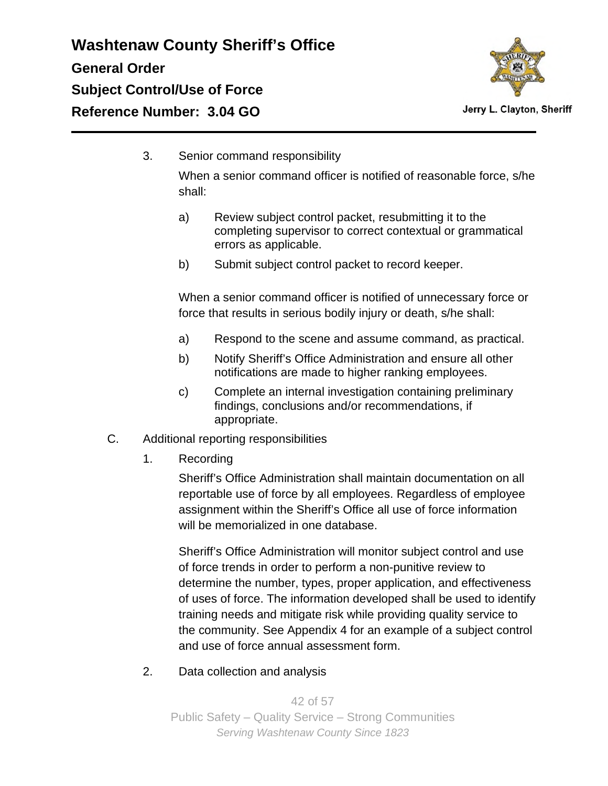

3. Senior command responsibility

When a senior command officer is notified of reasonable force, s/he shall:

- a) Review subject control packet, resubmitting it to the completing supervisor to correct contextual or grammatical errors as applicable.
- b) Submit subject control packet to record keeper.

When a senior command officer is notified of unnecessary force or force that results in serious bodily injury or death, s/he shall:

- a) Respond to the scene and assume command, as practical.
- b) Notify Sheriff's Office Administration and ensure all other notifications are made to higher ranking employees.
- c) Complete an internal investigation containing preliminary findings, conclusions and/or recommendations, if appropriate.
- C. Additional reporting responsibilities
	- 1. Recording

Sheriff's Office Administration shall maintain documentation on all reportable use of force by all employees. Regardless of employee assignment within the Sheriff's Office all use of force information will be memorialized in one database.

Sheriff's Office Administration will monitor subject control and use of force trends in order to perform a non-punitive review to determine the number, types, proper application, and effectiveness of uses of force. The information developed shall be used to identify training needs and mitigate risk while providing quality service to the community. See Appendix 4 for an example of a subject control and use of force annual assessment form.

2. Data collection and analysis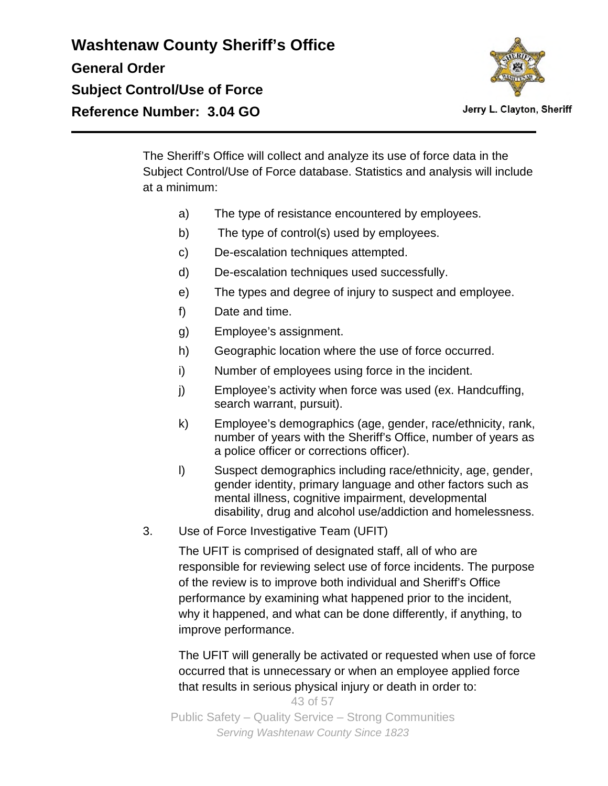

Jerry L. Clayton, Sheriff

The Sheriff's Office will collect and analyze its use of force data in the Subject Control/Use of Force database. Statistics and analysis will include at a minimum:

- a) The type of resistance encountered by employees.
- b) The type of control(s) used by employees.
- c) De-escalation techniques attempted.
- d) De-escalation techniques used successfully.
- e) The types and degree of injury to suspect and employee.
- f) Date and time.
- g) Employee's assignment.
- h) Geographic location where the use of force occurred.
- i) Number of employees using force in the incident.
- j) Employee's activity when force was used (ex. Handcuffing, search warrant, pursuit).
- k) Employee's demographics (age, gender, race/ethnicity, rank, number of years with the Sheriff's Office, number of years as a police officer or corrections officer).
- l) Suspect demographics including race/ethnicity, age, gender, gender identity, primary language and other factors such as mental illness, cognitive impairment, developmental disability, drug and alcohol use/addiction and homelessness.
- 3. Use of Force Investigative Team (UFIT)

The UFIT is comprised of designated staff, all of who are responsible for reviewing select use of force incidents. The purpose of the review is to improve both individual and Sheriff's Office performance by examining what happened prior to the incident, why it happened, and what can be done differently, if anything, to improve performance.

The UFIT will generally be activated or requested when use of force occurred that is unnecessary or when an employee applied force that results in serious physical injury or death in order to: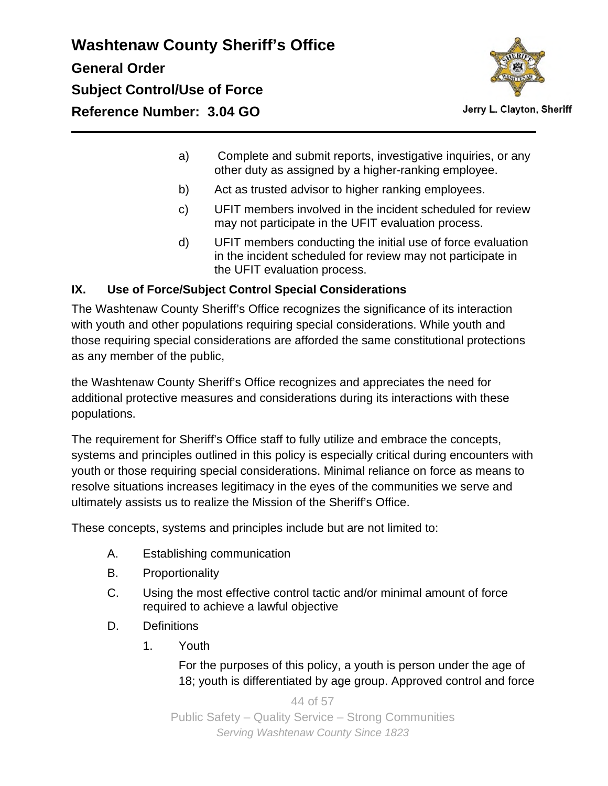

Jerry L. Clayton, Sheriff

- a) Complete and submit reports, investigative inquiries, or any other duty as assigned by a higher-ranking employee.
- b) Act as trusted advisor to higher ranking employees.
- c) UFIT members involved in the incident scheduled for review may not participate in the UFIT evaluation process.
- d) UFIT members conducting the initial use of force evaluation in the incident scheduled for review may not participate in the UFIT evaluation process.

### **IX. Use of Force/Subject Control Special Considerations**

The Washtenaw County Sheriff's Office recognizes the significance of its interaction with youth and other populations requiring special considerations. While youth and those requiring special considerations are afforded the same constitutional protections as any member of the public,

the Washtenaw County Sheriff's Office recognizes and appreciates the need for additional protective measures and considerations during its interactions with these populations.

The requirement for Sheriff's Office staff to fully utilize and embrace the concepts, systems and principles outlined in this policy is especially critical during encounters with youth or those requiring special considerations. Minimal reliance on force as means to resolve situations increases legitimacy in the eyes of the communities we serve and ultimately assists us to realize the Mission of the Sheriff's Office.

These concepts, systems and principles include but are not limited to:

- A. Establishing communication
- B. Proportionality
- C. Using the most effective control tactic and/or minimal amount of force required to achieve a lawful objective
- D. Definitions
	- 1. Youth

For the purposes of this policy, a youth is person under the age of 18; youth is differentiated by age group. Approved control and force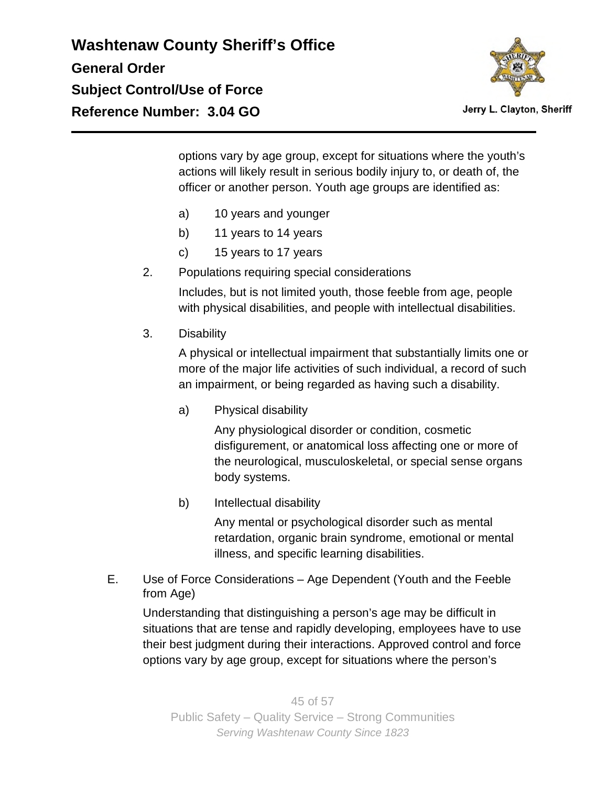

Jerry L. Clayton, Sheriff

options vary by age group, except for situations where the youth's actions will likely result in serious bodily injury to, or death of, the officer or another person. Youth age groups are identified as:

- a) 10 years and younger
- b) 11 years to 14 years
- c) 15 years to 17 years
- 2. Populations requiring special considerations

Includes, but is not limited youth, those feeble from age, people with physical disabilities, and people with intellectual disabilities.

3. Disability

A physical or intellectual impairment that substantially limits one or more of the major life activities of such individual, a record of such an impairment, or being regarded as having such a disability.

a) Physical disability

Any physiological disorder or condition, cosmetic disfigurement, or anatomical loss affecting one or more of the neurological, musculoskeletal, or special sense organs body systems.

b) Intellectual disability

Any mental or psychological disorder such as mental retardation, organic brain syndrome, emotional or mental illness, and specific learning disabilities.

E. Use of Force Considerations – Age Dependent (Youth and the Feeble from Age)

Understanding that distinguishing a person's age may be difficult in situations that are tense and rapidly developing, employees have to use their best judgment during their interactions. Approved control and force options vary by age group, except for situations where the person's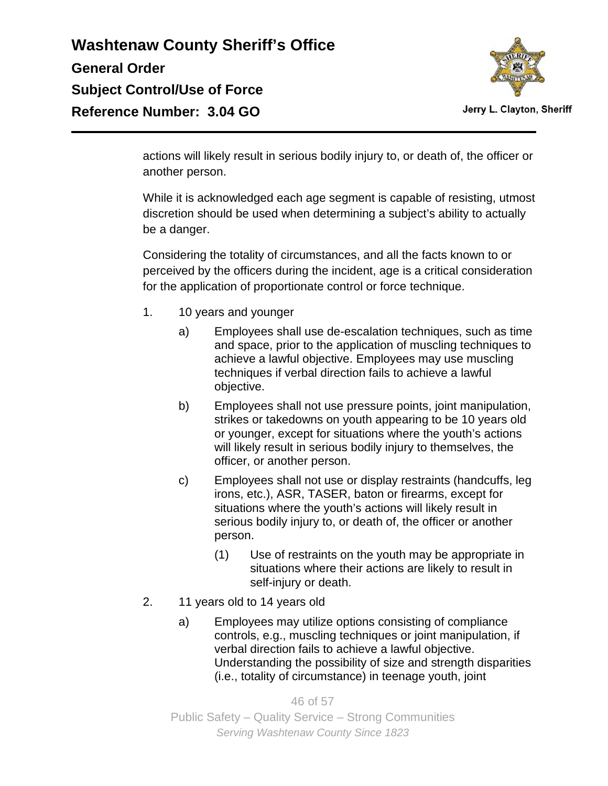

actions will likely result in serious bodily injury to, or death of, the officer or another person.

While it is acknowledged each age segment is capable of resisting, utmost discretion should be used when determining a subject's ability to actually be a danger.

Considering the totality of circumstances, and all the facts known to or perceived by the officers during the incident, age is a critical consideration for the application of proportionate control or force technique.

- 1. 10 years and younger
	- a) Employees shall use de-escalation techniques, such as time and space, prior to the application of muscling techniques to achieve a lawful objective. Employees may use muscling techniques if verbal direction fails to achieve a lawful objective.
	- b) Employees shall not use pressure points, joint manipulation, strikes or takedowns on youth appearing to be 10 years old or younger, except for situations where the youth's actions will likely result in serious bodily injury to themselves, the officer, or another person.
	- c) Employees shall not use or display restraints (handcuffs, leg irons, etc.), ASR, TASER, baton or firearms, except for situations where the youth's actions will likely result in serious bodily injury to, or death of, the officer or another person.
		- (1) Use of restraints on the youth may be appropriate in situations where their actions are likely to result in self-injury or death.
- 2. 11 years old to 14 years old
	- a) Employees may utilize options consisting of compliance controls, e.g., muscling techniques or joint manipulation, if verbal direction fails to achieve a lawful objective. Understanding the possibility of size and strength disparities (i.e., totality of circumstance) in teenage youth, joint

46 of 57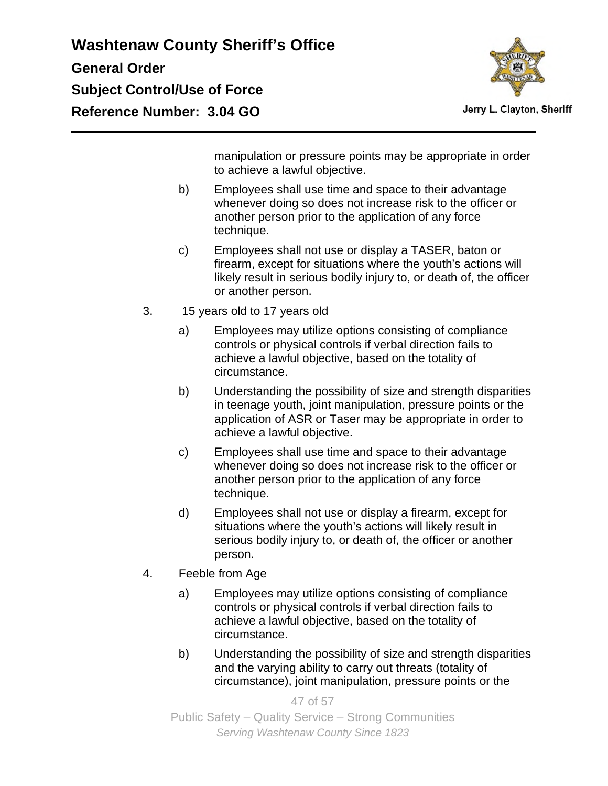

Jerry L. Clayton, Sheriff

manipulation or pressure points may be appropriate in order to achieve a lawful objective.

- b) Employees shall use time and space to their advantage whenever doing so does not increase risk to the officer or another person prior to the application of any force technique.
- c) Employees shall not use or display a TASER, baton or firearm, except for situations where the youth's actions will likely result in serious bodily injury to, or death of, the officer or another person.
- 3. 15 years old to 17 years old
	- a) Employees may utilize options consisting of compliance controls or physical controls if verbal direction fails to achieve a lawful objective, based on the totality of circumstance.
	- b) Understanding the possibility of size and strength disparities in teenage youth, joint manipulation, pressure points or the application of ASR or Taser may be appropriate in order to achieve a lawful objective.
	- c) Employees shall use time and space to their advantage whenever doing so does not increase risk to the officer or another person prior to the application of any force technique.
	- d) Employees shall not use or display a firearm, except for situations where the youth's actions will likely result in serious bodily injury to, or death of, the officer or another person.
- 4. Feeble from Age
	- a) Employees may utilize options consisting of compliance controls or physical controls if verbal direction fails to achieve a lawful objective, based on the totality of circumstance.
	- b) Understanding the possibility of size and strength disparities and the varying ability to carry out threats (totality of circumstance), joint manipulation, pressure points or the

47 of 57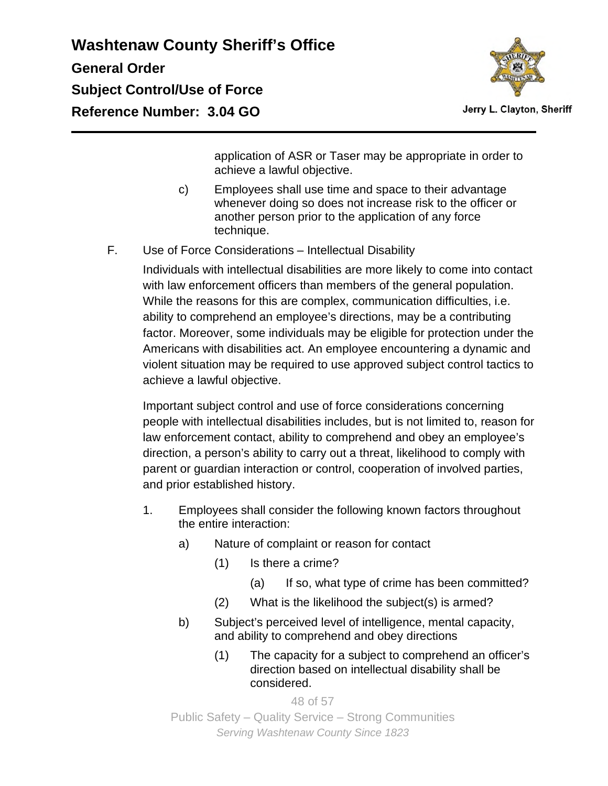

Jerry L. Clayton, Sheriff

application of ASR or Taser may be appropriate in order to achieve a lawful objective.

- c) Employees shall use time and space to their advantage whenever doing so does not increase risk to the officer or another person prior to the application of any force technique.
- F. Use of Force Considerations Intellectual Disability

Individuals with intellectual disabilities are more likely to come into contact with law enforcement officers than members of the general population. While the reasons for this are complex, communication difficulties, i.e. ability to comprehend an employee's directions, may be a contributing factor. Moreover, some individuals may be eligible for protection under the Americans with disabilities act. An employee encountering a dynamic and violent situation may be required to use approved subject control tactics to achieve a lawful objective.

Important subject control and use of force considerations concerning people with intellectual disabilities includes, but is not limited to, reason for law enforcement contact, ability to comprehend and obey an employee's direction, a person's ability to carry out a threat, likelihood to comply with parent or guardian interaction or control, cooperation of involved parties, and prior established history.

- 1. Employees shall consider the following known factors throughout the entire interaction:
	- a) Nature of complaint or reason for contact
		- (1) Is there a crime?
			- (a) If so, what type of crime has been committed?
		- (2) What is the likelihood the subject(s) is armed?
	- b) Subject's perceived level of intelligence, mental capacity, and ability to comprehend and obey directions
		- (1) The capacity for a subject to comprehend an officer's direction based on intellectual disability shall be considered.

48 of 57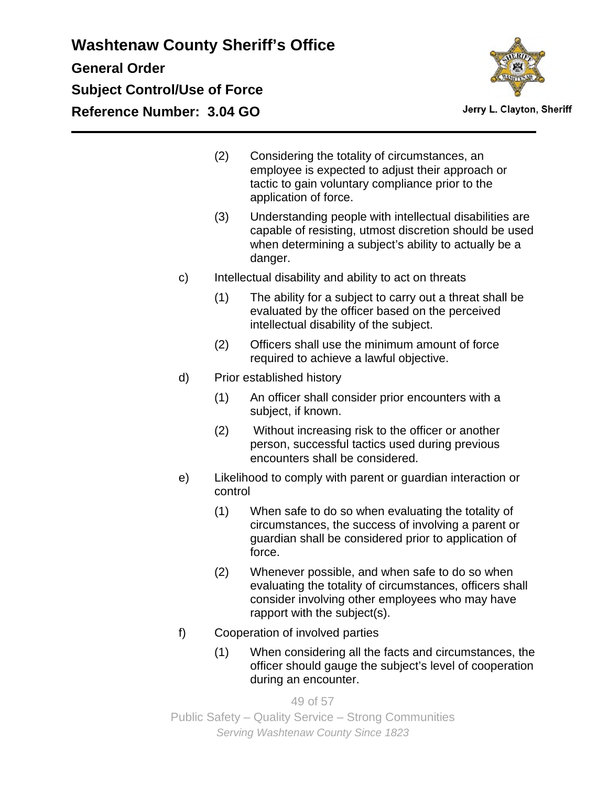

- (2) Considering the totality of circumstances, an employee is expected to adjust their approach or tactic to gain voluntary compliance prior to the application of force.
- (3) Understanding people with intellectual disabilities are capable of resisting, utmost discretion should be used when determining a subject's ability to actually be a danger.
- c) Intellectual disability and ability to act on threats
	- (1) The ability for a subject to carry out a threat shall be evaluated by the officer based on the perceived intellectual disability of the subject.
	- (2) Officers shall use the minimum amount of force required to achieve a lawful objective.
- d) Prior established history
	- (1) An officer shall consider prior encounters with a subject, if known.
	- (2) Without increasing risk to the officer or another person, successful tactics used during previous encounters shall be considered.
- e) Likelihood to comply with parent or guardian interaction or control
	- (1) When safe to do so when evaluating the totality of circumstances, the success of involving a parent or guardian shall be considered prior to application of force.
	- (2) Whenever possible, and when safe to do so when evaluating the totality of circumstances, officers shall consider involving other employees who may have rapport with the subject(s).
- f) Cooperation of involved parties
	- (1) When considering all the facts and circumstances, the officer should gauge the subject's level of cooperation during an encounter.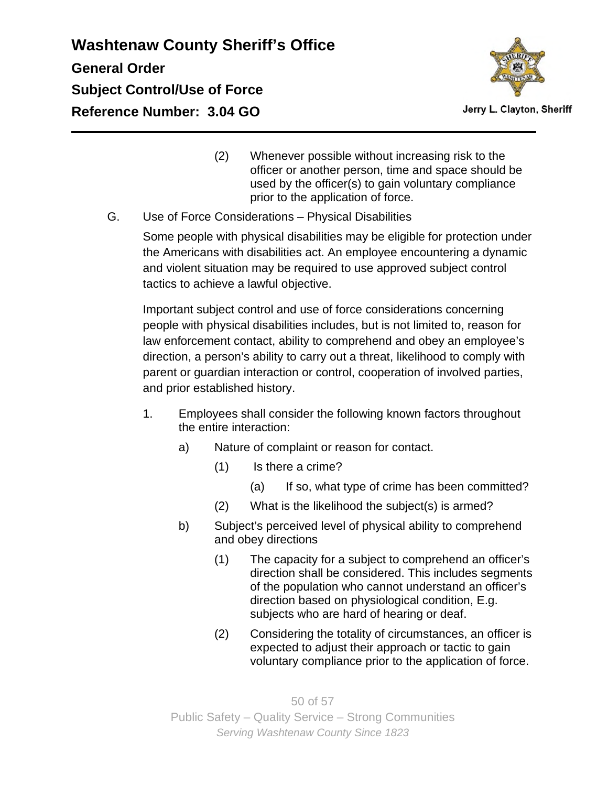

Jerry L. Clayton, Sheriff

- (2) Whenever possible without increasing risk to the officer or another person, time and space should be used by the officer(s) to gain voluntary compliance prior to the application of force.
- G. Use of Force Considerations Physical Disabilities

Some people with physical disabilities may be eligible for protection under the Americans with disabilities act. An employee encountering a dynamic and violent situation may be required to use approved subject control tactics to achieve a lawful objective.

Important subject control and use of force considerations concerning people with physical disabilities includes, but is not limited to, reason for law enforcement contact, ability to comprehend and obey an employee's direction, a person's ability to carry out a threat, likelihood to comply with parent or guardian interaction or control, cooperation of involved parties, and prior established history.

- 1. Employees shall consider the following known factors throughout the entire interaction:
	- a) Nature of complaint or reason for contact.
		- (1) Is there a crime?
			- (a) If so, what type of crime has been committed?
		- (2) What is the likelihood the subject(s) is armed?
	- b) Subject's perceived level of physical ability to comprehend and obey directions
		- (1) The capacity for a subject to comprehend an officer's direction shall be considered. This includes segments of the population who cannot understand an officer's direction based on physiological condition, E.g. subjects who are hard of hearing or deaf.
		- (2) Considering the totality of circumstances, an officer is expected to adjust their approach or tactic to gain voluntary compliance prior to the application of force.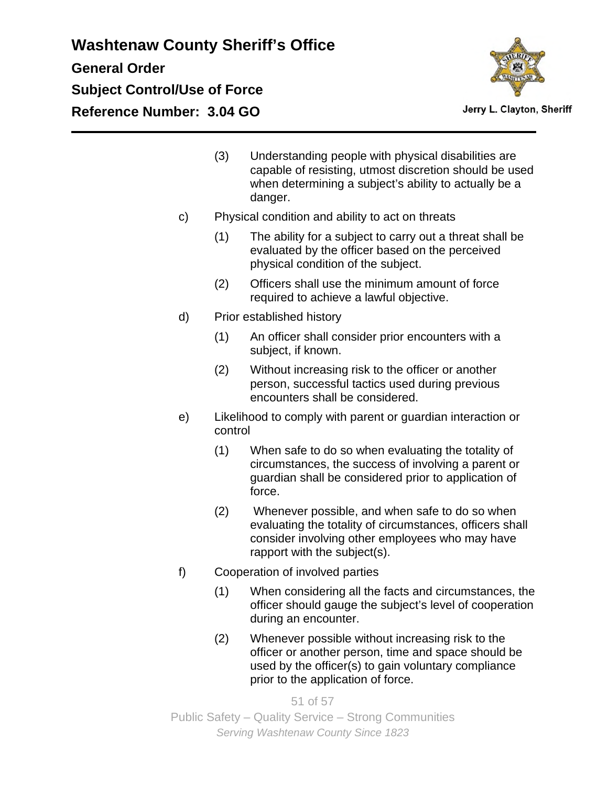

Jerry L. Clayton, Sheriff

- (3) Understanding people with physical disabilities are capable of resisting, utmost discretion should be used when determining a subject's ability to actually be a danger.
- c) Physical condition and ability to act on threats
	- (1) The ability for a subject to carry out a threat shall be evaluated by the officer based on the perceived physical condition of the subject.
	- (2) Officers shall use the minimum amount of force required to achieve a lawful objective.
- d) Prior established history
	- (1) An officer shall consider prior encounters with a subject, if known.
	- (2) Without increasing risk to the officer or another person, successful tactics used during previous encounters shall be considered.
- e) Likelihood to comply with parent or guardian interaction or control
	- (1) When safe to do so when evaluating the totality of circumstances, the success of involving a parent or guardian shall be considered prior to application of force.
	- (2) Whenever possible, and when safe to do so when evaluating the totality of circumstances, officers shall consider involving other employees who may have rapport with the subject(s).
- f) Cooperation of involved parties
	- (1) When considering all the facts and circumstances, the officer should gauge the subject's level of cooperation during an encounter.
	- (2) Whenever possible without increasing risk to the officer or another person, time and space should be used by the officer(s) to gain voluntary compliance prior to the application of force.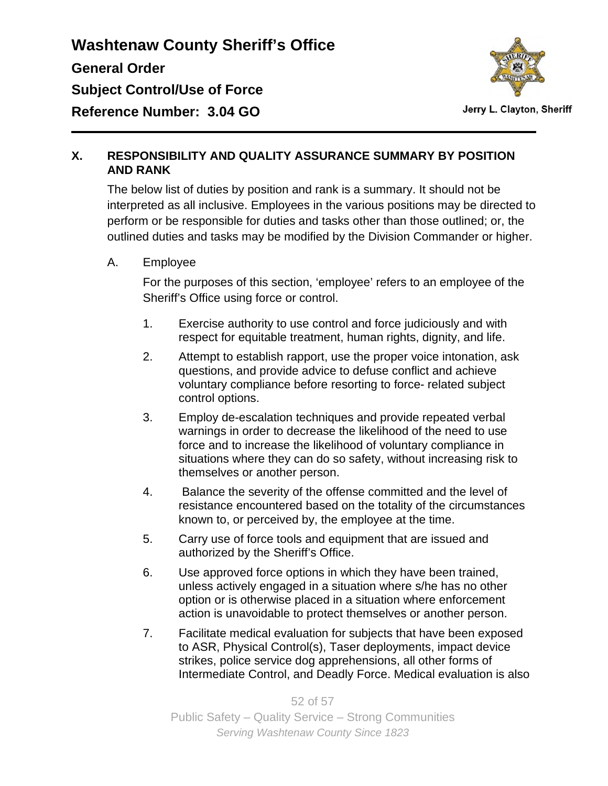

#### **X. RESPONSIBILITY AND QUALITY ASSURANCE SUMMARY BY POSITION AND RANK**

The below list of duties by position and rank is a summary. It should not be interpreted as all inclusive. Employees in the various positions may be directed to perform or be responsible for duties and tasks other than those outlined; or, the outlined duties and tasks may be modified by the Division Commander or higher.

A. Employee

For the purposes of this section, 'employee' refers to an employee of the Sheriff's Office using force or control.

- 1. Exercise authority to use control and force judiciously and with respect for equitable treatment, human rights, dignity, and life.
- 2. Attempt to establish rapport, use the proper voice intonation, ask questions, and provide advice to defuse conflict and achieve voluntary compliance before resorting to force- related subject control options.
- 3. Employ de-escalation techniques and provide repeated verbal warnings in order to decrease the likelihood of the need to use force and to increase the likelihood of voluntary compliance in situations where they can do so safety, without increasing risk to themselves or another person.
- 4. Balance the severity of the offense committed and the level of resistance encountered based on the totality of the circumstances known to, or perceived by, the employee at the time.
- 5. Carry use of force tools and equipment that are issued and authorized by the Sheriff's Office.
- 6. Use approved force options in which they have been trained, unless actively engaged in a situation where s/he has no other option or is otherwise placed in a situation where enforcement action is unavoidable to protect themselves or another person.
- 7. Facilitate medical evaluation for subjects that have been exposed to ASR, Physical Control(s), Taser deployments, impact device strikes, police service dog apprehensions, all other forms of Intermediate Control, and Deadly Force. Medical evaluation is also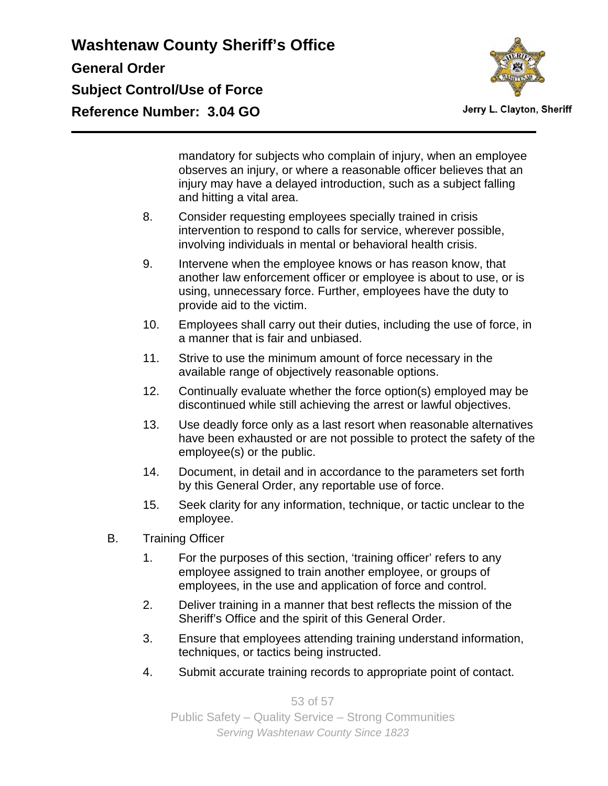

Jerry L. Clayton, Sheriff

mandatory for subjects who complain of injury, when an employee observes an injury, or where a reasonable officer believes that an injury may have a delayed introduction, such as a subject falling and hitting a vital area.

- 8. Consider requesting employees specially trained in crisis intervention to respond to calls for service, wherever possible, involving individuals in mental or behavioral health crisis.
- 9. Intervene when the employee knows or has reason know, that another law enforcement officer or employee is about to use, or is using, unnecessary force. Further, employees have the duty to provide aid to the victim.
- 10. Employees shall carry out their duties, including the use of force, in a manner that is fair and unbiased.
- 11. Strive to use the minimum amount of force necessary in the available range of objectively reasonable options.
- 12. Continually evaluate whether the force option(s) employed may be discontinued while still achieving the arrest or lawful objectives.
- 13. Use deadly force only as a last resort when reasonable alternatives have been exhausted or are not possible to protect the safety of the employee(s) or the public.
- 14. Document, in detail and in accordance to the parameters set forth by this General Order, any reportable use of force.
- 15. Seek clarity for any information, technique, or tactic unclear to the employee.
- B. Training Officer
	- 1. For the purposes of this section, 'training officer' refers to any employee assigned to train another employee, or groups of employees, in the use and application of force and control.
	- 2. Deliver training in a manner that best reflects the mission of the Sheriff's Office and the spirit of this General Order.
	- 3. Ensure that employees attending training understand information, techniques, or tactics being instructed.
	- 4. Submit accurate training records to appropriate point of contact.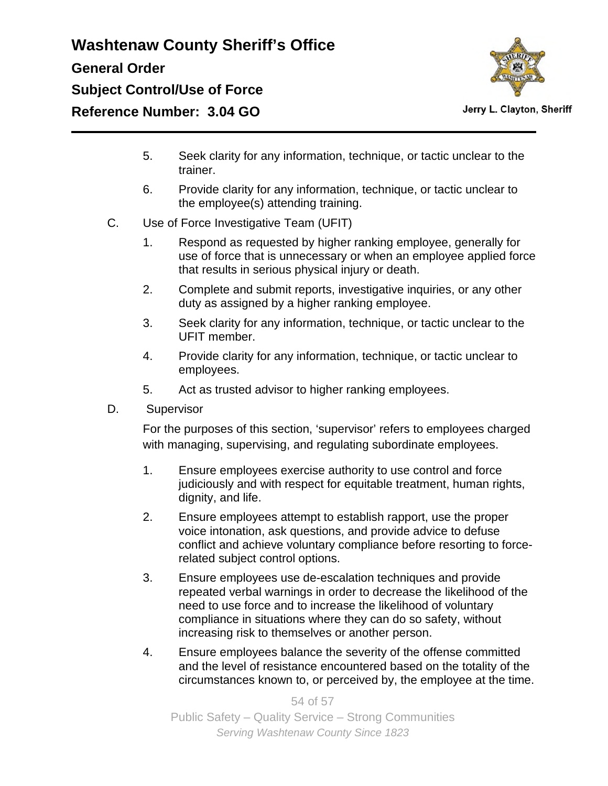

- 5. Seek clarity for any information, technique, or tactic unclear to the trainer.
- 6. Provide clarity for any information, technique, or tactic unclear to the employee(s) attending training.
- C. Use of Force Investigative Team (UFIT)
	- 1. Respond as requested by higher ranking employee, generally for use of force that is unnecessary or when an employee applied force that results in serious physical injury or death.
	- 2. Complete and submit reports, investigative inquiries, or any other duty as assigned by a higher ranking employee.
	- 3. Seek clarity for any information, technique, or tactic unclear to the UFIT member.
	- 4. Provide clarity for any information, technique, or tactic unclear to employees.
	- 5. Act as trusted advisor to higher ranking employees.
- D. Supervisor

For the purposes of this section, 'supervisor' refers to employees charged with managing, supervising, and regulating subordinate employees.

- 1. Ensure employees exercise authority to use control and force judiciously and with respect for equitable treatment, human rights, dignity, and life.
- 2. Ensure employees attempt to establish rapport, use the proper voice intonation, ask questions, and provide advice to defuse conflict and achieve voluntary compliance before resorting to forcerelated subject control options.
- 3. Ensure employees use de-escalation techniques and provide repeated verbal warnings in order to decrease the likelihood of the need to use force and to increase the likelihood of voluntary compliance in situations where they can do so safety, without increasing risk to themselves or another person.
- 4. Ensure employees balance the severity of the offense committed and the level of resistance encountered based on the totality of the circumstances known to, or perceived by, the employee at the time.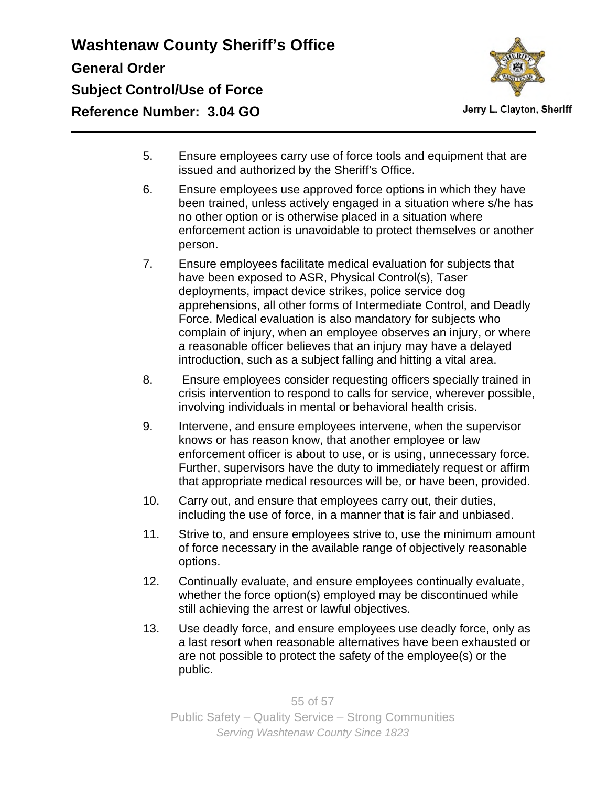

Jerry L. Clayton, Sheriff

- 5. Ensure employees carry use of force tools and equipment that are issued and authorized by the Sheriff's Office.
- 6. Ensure employees use approved force options in which they have been trained, unless actively engaged in a situation where s/he has no other option or is otherwise placed in a situation where enforcement action is unavoidable to protect themselves or another person.
- 7. Ensure employees facilitate medical evaluation for subjects that have been exposed to ASR, Physical Control(s), Taser deployments, impact device strikes, police service dog apprehensions, all other forms of Intermediate Control, and Deadly Force. Medical evaluation is also mandatory for subjects who complain of injury, when an employee observes an injury, or where a reasonable officer believes that an injury may have a delayed introduction, such as a subject falling and hitting a vital area.
- 8. Ensure employees consider requesting officers specially trained in crisis intervention to respond to calls for service, wherever possible, involving individuals in mental or behavioral health crisis.
- 9. Intervene, and ensure employees intervene, when the supervisor knows or has reason know, that another employee or law enforcement officer is about to use, or is using, unnecessary force. Further, supervisors have the duty to immediately request or affirm that appropriate medical resources will be, or have been, provided.
- 10. Carry out, and ensure that employees carry out, their duties, including the use of force, in a manner that is fair and unbiased.
- 11. Strive to, and ensure employees strive to, use the minimum amount of force necessary in the available range of objectively reasonable options.
- 12. Continually evaluate, and ensure employees continually evaluate, whether the force option(s) employed may be discontinued while still achieving the arrest or lawful objectives.
- 13. Use deadly force, and ensure employees use deadly force, only as a last resort when reasonable alternatives have been exhausted or are not possible to protect the safety of the employee(s) or the public.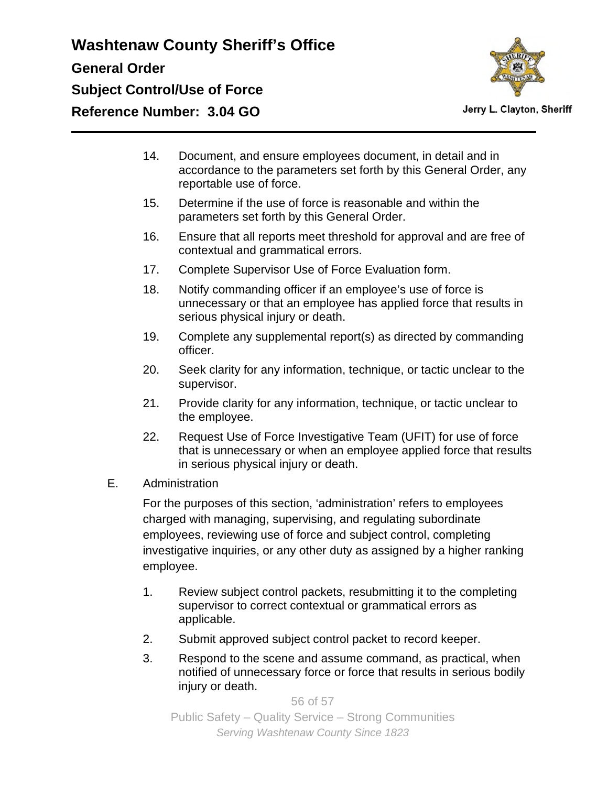

Jerry L. Clayton, Sheriff

- 14. Document, and ensure employees document, in detail and in accordance to the parameters set forth by this General Order, any reportable use of force.
- 15. Determine if the use of force is reasonable and within the parameters set forth by this General Order.
- 16. Ensure that all reports meet threshold for approval and are free of contextual and grammatical errors.
- 17. Complete Supervisor Use of Force Evaluation form.
- 18. Notify commanding officer if an employee's use of force is unnecessary or that an employee has applied force that results in serious physical injury or death.
- 19. Complete any supplemental report(s) as directed by commanding officer.
- 20. Seek clarity for any information, technique, or tactic unclear to the supervisor.
- 21. Provide clarity for any information, technique, or tactic unclear to the employee.
- 22. Request Use of Force Investigative Team (UFIT) for use of force that is unnecessary or when an employee applied force that results in serious physical injury or death.
- E. Administration

For the purposes of this section, 'administration' refers to employees charged with managing, supervising, and regulating subordinate employees, reviewing use of force and subject control, completing investigative inquiries, or any other duty as assigned by a higher ranking employee.

- 1. Review subject control packets, resubmitting it to the completing supervisor to correct contextual or grammatical errors as applicable.
- 2. Submit approved subject control packet to record keeper.
- 3. Respond to the scene and assume command, as practical, when notified of unnecessary force or force that results in serious bodily injury or death.